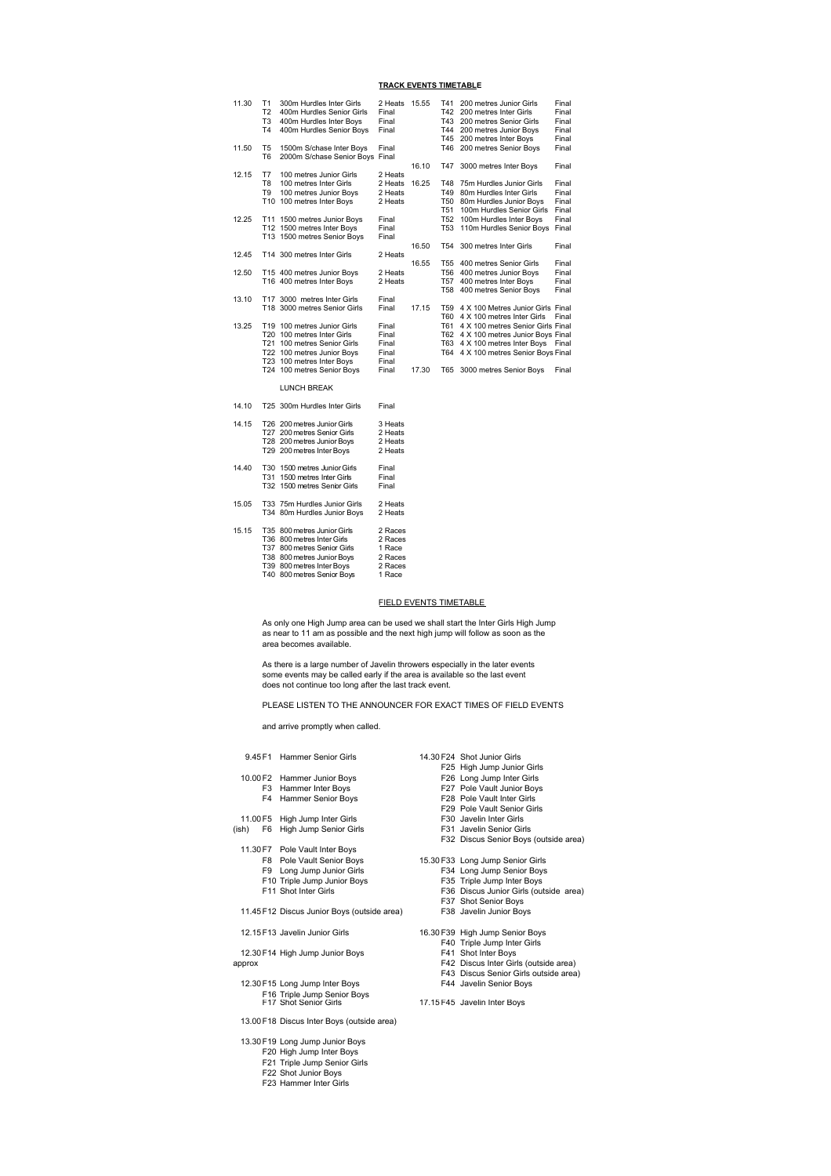## **TRACK EVENTS TIMETABLE**

| 11.30 | T <sub>1</sub><br>T <sub>2</sub><br>T <sub>3</sub><br><b>T4</b> | 300m Hurdles Inter Girls<br>400m Hurdles Senior Girls<br>400m Hurdles Inter Boys<br>400m Hurdles Senior Boys | 2 Heats<br>Final<br>Final<br>Final | 15.55 | T41<br>T42      | 200 metres Junior Girls<br>200 metres Inter Girls<br>T43 200 metres Senior Girls<br>T44 200 metres Junior Boys | Final<br>Final<br>Final<br>Final |
|-------|-----------------------------------------------------------------|--------------------------------------------------------------------------------------------------------------|------------------------------------|-------|-----------------|----------------------------------------------------------------------------------------------------------------|----------------------------------|
|       |                                                                 |                                                                                                              |                                    |       | T45             | 200 metres Inter Boys                                                                                          | Final                            |
| 11.50 | T <sub>5</sub><br>T <sub>6</sub>                                | 1500m S/chase Inter Boys<br>2000m S/chase Senior Boys                                                        | Final<br>Final                     |       | T46             | 200 metres Senior Boys                                                                                         | Final                            |
|       |                                                                 |                                                                                                              |                                    | 16.10 | T47             | 3000 metres Inter Boys                                                                                         | Final                            |
| 12.15 | T7                                                              | 100 metres Junior Girls                                                                                      | 2 Heats                            |       |                 |                                                                                                                |                                  |
|       | T <sub>8</sub>                                                  | 100 metres Inter Girls                                                                                       | 2 Heats                            | 16.25 | T48             | 75m Hurdles Junior Girls                                                                                       | Final                            |
|       | T <sub>9</sub>                                                  | 100 metres Junior Boys                                                                                       | 2 Heats                            |       | T49             | 80m Hurdles Inter Girls                                                                                        | Final                            |
|       |                                                                 | T10 100 metres Inter Boys                                                                                    | 2 Heats                            |       | T <sub>50</sub> | 80m Hurdles Junior Boys                                                                                        | Final                            |
|       |                                                                 |                                                                                                              |                                    |       | T <sub>51</sub> | 100m Hurdles Senior Girls                                                                                      | Final                            |
| 12.25 |                                                                 | T11 1500 metres Junior Boys                                                                                  | Final                              |       |                 | T52 100m Hurdles Inter Boys                                                                                    | Final                            |
|       |                                                                 | T12 1500 metres Inter Boys                                                                                   | Final                              |       | T53             | 110m Hurdles Senior Boys                                                                                       | Final                            |
|       |                                                                 | T13 1500 metres Senior Boys                                                                                  | Final                              |       |                 |                                                                                                                |                                  |
|       |                                                                 |                                                                                                              |                                    | 16.50 |                 | T54 300 metres Inter Girls                                                                                     | Final                            |
| 12.45 |                                                                 | T14 300 metres Inter Girls                                                                                   | 2 Heats                            |       |                 |                                                                                                                |                                  |
|       |                                                                 |                                                                                                              |                                    | 16.55 |                 | T55 400 metres Senior Girls                                                                                    | Final                            |
| 12.50 |                                                                 | T15 400 metres Junior Boys                                                                                   | 2 Heats                            |       |                 | T56 400 metres Junior Boys                                                                                     | Final                            |
|       |                                                                 | T16 400 metres Inter Bovs                                                                                    | 2 Heats                            |       |                 | T57 400 metres Inter Boys                                                                                      | Final                            |
|       |                                                                 |                                                                                                              | Final                              |       |                 | T58 400 metres Senior Boys                                                                                     | Final                            |
| 13.10 |                                                                 | T17 3000 metres Inter Girls                                                                                  |                                    |       |                 |                                                                                                                |                                  |
|       |                                                                 | T18 3000 metres Senior Girls                                                                                 | Final                              | 17.15 |                 | T59 4 X 100 Metres Junior Girls Final                                                                          | Final                            |
|       |                                                                 |                                                                                                              | Final                              |       |                 | T60 4 X 100 metres Inter Girls                                                                                 |                                  |
| 13.25 |                                                                 | T19 100 metres Junior Girls<br>T20 100 metres Inter Girls                                                    | Final                              |       | T61             | 4 X 100 metres Senior Girls Final                                                                              |                                  |
|       |                                                                 | T21 100 metres Senior Girls                                                                                  | Final                              |       |                 | T62 4 X 100 metres Junior Boys Final                                                                           |                                  |
|       |                                                                 |                                                                                                              | Final                              |       | T64             | T63 4 X 100 metres Inter Boys Final<br>4 X 100 metres Senior Boys Final                                        |                                  |
|       |                                                                 | T22 100 metres Junior Boys<br>T23 100 metres Inter Bovs                                                      | Final                              |       |                 |                                                                                                                |                                  |
|       |                                                                 | T24 100 metres Senior Boys                                                                                   | Final                              | 17.30 |                 | T65 3000 metres Senior Boys                                                                                    | Final                            |
|       |                                                                 |                                                                                                              |                                    |       |                 |                                                                                                                |                                  |
|       |                                                                 | <b>LUNCH BREAK</b>                                                                                           |                                    |       |                 |                                                                                                                |                                  |
| 14.10 |                                                                 | T25 300m Hurdles Inter Girls                                                                                 | Final                              |       |                 |                                                                                                                |                                  |
|       |                                                                 |                                                                                                              |                                    |       |                 |                                                                                                                |                                  |

| 14.15 |                                            | T <sub>26</sub> 200 metres Junior Girls<br>T27 200 metres Senior Girls<br>T28 200 metres Junior Boys<br>T29 200 metres Inter Boys                         | 3 Heats<br>2 Heats<br>2 Heats<br>2 Heats                     |
|-------|--------------------------------------------|-----------------------------------------------------------------------------------------------------------------------------------------------------------|--------------------------------------------------------------|
| 14.40 | T30<br>T31                                 | 1500 metres Junior Girls<br>1500 metres Inter Girls<br>T32 1500 metres Senbr Girls                                                                        | Final<br>Final<br>Final                                      |
| 15.05 |                                            | T33 75m Hurdles Junior Girls<br>T34 80m Hurdles Junior Boys                                                                                               | 2 Heats<br>2 Heats                                           |
| 15.15 | T35<br>T36<br>T37<br>T38 I<br>T39 I<br>T40 | 800 metres Junior Girls<br>800 metres Inter Girls<br>800 metres Senior Girls<br>800 metres Junior Boys<br>800 metres Inter Boys<br>800 metres Senior Boys | 2 Races<br>2 Races<br>1 Race<br>2 Races<br>2 Races<br>1 Race |

## FIELD EVENTS TIMETABLE

As only one High Jump area can be used we shall start the Inter Girls High Jump as near to 11 am as possible and the next high jump will follow as soon as the area becomes available.

As there is a large number of Javelin throwers especially in the later events some events may be called early if the area is available so the last event does not continue too long after the last track event.

PLEASE LISTEN TO THE ANNOUNCER FOR EXACT TIMES OF FIELD EVENTS

and arrive promptly when called.

- 9.45F1 Hammer Senior Girls 14.30F24 Shot Junior Girls
- 10.00F2 Hammer Junior Boys<br>F3 Hammer Inter Boys F4 Hammer Senior Boys
- 11.00 F5 High Jump Inter Girls F6 High Jump Senior Girls F31 Javelin Senior Girls (ish)
- 11.30F7 Pole Vault Inter Boys F8 Pole Vault Senior Boys 15.30F33 Long Jump Senior Girls<br>F8 Long Jump Junior Girls 15.30F33 Long Jump Senior Boys
	- F10 Triple Jump Junior Boys<br>F11 Shot Inter Girls

11.45 F12 Discus Junior Boys (outside area)

- 12.30 F14 High Jump Junior Boys<br>approx
- 12.30 F15 Long Jump Inter Boys F16 Triple Jump Senior Boys<br>F17 Shot Senior Girls
- 13.00F18 Discus Inter Boys (outside area)

13.30F19 Long Jump Junior Boys

- F20 High Jump Inter Boys F21 Triple Jump Senior Girls
- 
- F22 Shot Junior Boys F23 Hammer Inter Girls
- 
- - F25 High Jump Junior Girls
	- F26 Long Jump Inter Girls<br>F27 Pole Vault Junior Boys<br>F28 Pole Vault Inter Girls
	-
	- F29 Pole Vault Senior Girls<br>F30 Javelin Inter Girls
	-
	-
	- F31 Javelin Senior Girls<br>F32 Discus Senior Boys (outside area)
- 
- 
- F34 Long Jump Senior Boys<br>F35 Triple Jump Inter Boys
	- F36 Discus Junior Girls (outside area)
	- F37 Shot Senior Boys<br>F38 Javelin Junior Boys
	-
- 12.15F13 Javelin Junior Girls 16.30F39 High Jump Senior Boys
	- F40 Triple Jump Inter Girls<br>F41 Shot Inter Boys
	-
	- F42 Discus Inter Girls (outside area)
	- F43 Discus Senior Girls outside area)<br>F44 Javelin Senior Boys
	-
	- 17.15 F45 Javelin Inter Boys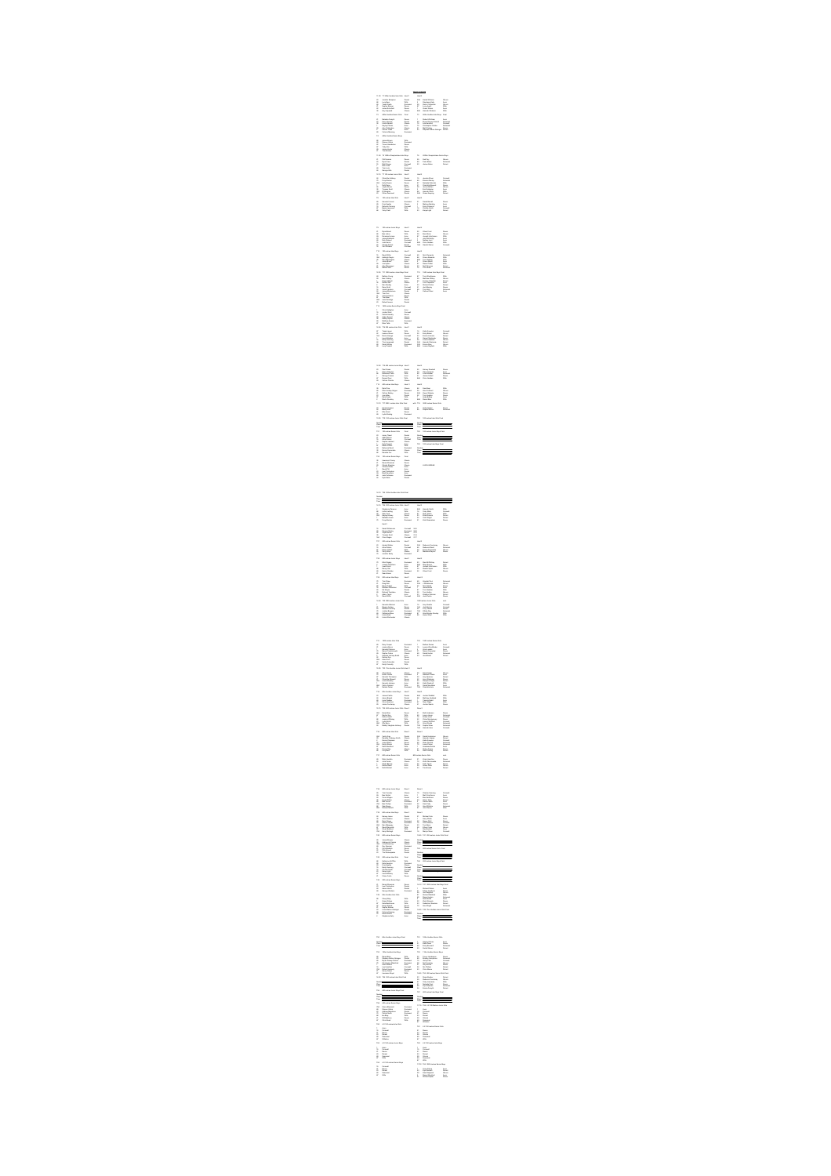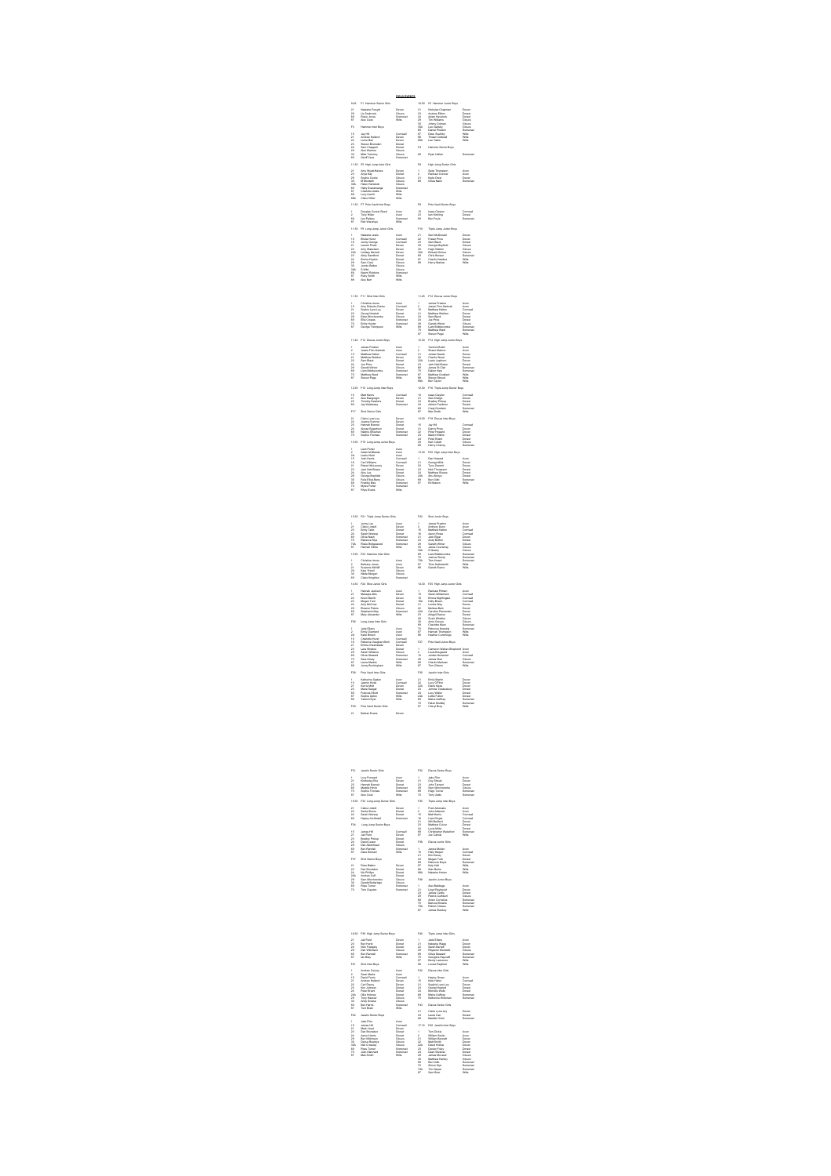| 21<br>23<br>03<br>07                        | Natasha Fore<br>Liz Seabrook<br>Rosie Jones<br>Alex Cook                                                                                                                                                  | Devon<br>Glouce<br>Somers<br>Willy                                                                         |                                                          | ar Jul<br>Nicholas Chapn<br>Andrew Elkins<br>Adam Hawalock<br>Tim Williams<br>Jimmy Colman<br>Leo Gadsby<br>Danie <sup>r</sup>                                                                            |                                                                                                     |
|---------------------------------------------|-----------------------------------------------------------------------------------------------------------------------------------------------------------------------------------------------------------|------------------------------------------------------------------------------------------------------------|----------------------------------------------------------|-----------------------------------------------------------------------------------------------------------------------------------------------------------------------------------------------------------|-----------------------------------------------------------------------------------------------------|
|                                             |                                                                                                                                                                                                           |                                                                                                            |                                                          |                                                                                                                                                                                                           |                                                                                                     |
| ß                                           |                                                                                                                                                                                                           |                                                                                                            |                                                          |                                                                                                                                                                                                           |                                                                                                     |
|                                             |                                                                                                                                                                                                           |                                                                                                            |                                                          |                                                                                                                                                                                                           |                                                                                                     |
| 888888888                                   |                                                                                                                                                                                                           | Cornwal<br>Devon<br>Devon<br>Dorset<br>Dorset<br>Gloucs<br>Gloucs<br>Gloucs                                | a h h a b a b a c                                        |                                                                                                                                                                                                           |                                                                                                     |
|                                             |                                                                                                                                                                                                           |                                                                                                            |                                                          |                                                                                                                                                                                                           |                                                                                                     |
|                                             |                                                                                                                                                                                                           |                                                                                                            |                                                          |                                                                                                                                                                                                           |                                                                                                     |
| 물 표적 없는 남 없 건설                              |                                                                                                                                                                                                           |                                                                                                            |                                                          |                                                                                                                                                                                                           | Avan<br>Avan<br>Devan<br>Somers                                                                     |
|                                             |                                                                                                                                                                                                           |                                                                                                            |                                                          |                                                                                                                                                                                                           |                                                                                                     |
|                                             |                                                                                                                                                                                                           | Devon<br>Clouce<br>Glouce<br>Glouce<br>Somerse<br>Witts<br>Witts<br>Witts                                  |                                                          |                                                                                                                                                                                                           |                                                                                                     |
| .<br>113                                    |                                                                                                                                                                                                           |                                                                                                            | Fá                                                       |                                                                                                                                                                                                           |                                                                                                     |
| $\frac{1}{2}$ as                            |                                                                                                                                                                                                           | Avon<br>Avon<br>Somerset<br>Wits                                                                           | 15<br>23<br>69                                           | Isaac Clayton<br>Iain Kitching<br>Ben Foyle                                                                                                                                                               | Cornwall<br>Dorset<br>Somernet                                                                      |
|                                             |                                                                                                                                                                                                           |                                                                                                            |                                                          |                                                                                                                                                                                                           |                                                                                                     |
|                                             |                                                                                                                                                                                                           |                                                                                                            |                                                          |                                                                                                                                                                                                           |                                                                                                     |
|                                             |                                                                                                                                                                                                           |                                                                                                            |                                                          |                                                                                                                                                                                                           |                                                                                                     |
| 155222333333                                |                                                                                                                                                                                                           | Avon<br>Cornwall<br>Cornwall<br>Devon<br>Devon<br>Devon<br>Corset<br>Gioucs<br>Gioucs<br>Gioucs<br>Somerse | 18888887                                                 | Sam McDonald<br>Fraser Price<br>Sam Black<br>George Mayfell<br>Hugh Walton<br>Edward Grimer<br>Chris Brewer<br>Chris Brewer<br>Chris Brewer                                                               | Devon<br>Devon<br>Dorset<br>Gloucs<br>Gloucs<br>Gloucs<br>Somers<br>Wils                            |
|                                             |                                                                                                                                                                                                           |                                                                                                            |                                                          |                                                                                                                                                                                                           |                                                                                                     |
|                                             |                                                                                                                                                                                                           |                                                                                                            |                                                          |                                                                                                                                                                                                           |                                                                                                     |
|                                             |                                                                                                                                                                                                           |                                                                                                            |                                                          |                                                                                                                                                                                                           |                                                                                                     |
|                                             |                                                                                                                                                                                                           |                                                                                                            |                                                          | - Ancus Jun<br>James Preston<br>Jamie Finn-Gard<br>Mathew Halch<br>San Pica<br>Jawih V<br>Gareth V<br>Lim                                                                                                 |                                                                                                     |
|                                             | ----- mer Girls<br>Christina Jones<br>Amy Roberts-Clarke<br>Sophie Lyne-Ley<br>Georgi Hoaten<br>Ellis Clowes<br>Emily Hunter<br>George Thompson                                                           |                                                                                                            |                                                          |                                                                                                                                                                                                           |                                                                                                     |
|                                             |                                                                                                                                                                                                           | Avon<br>Cornwall<br>Devon<br>Cioucs<br>Somerset<br>Somerset<br>Somerset                                    |                                                          |                                                                                                                                                                                                           |                                                                                                     |
|                                             |                                                                                                                                                                                                           |                                                                                                            | 1 2 15 21 22 23 29 20 70 71                              |                                                                                                                                                                                                           | Avan<br>Avan<br>Carrwal<br>Davan<br>Darset<br>Giaucs<br>Somera                                      |
|                                             |                                                                                                                                                                                                           |                                                                                                            |                                                          |                                                                                                                                                                                                           |                                                                                                     |
|                                             |                                                                                                                                                                                                           |                                                                                                            |                                                          |                                                                                                                                                                                                           |                                                                                                     |
|                                             |                                                                                                                                                                                                           |                                                                                                            |                                                          |                                                                                                                                                                                                           |                                                                                                     |
| -- 1288888                                  |                                                                                                                                                                                                           | Augn<br>Augn<br>Cornwall<br>Devon<br>Dorset<br>Cornwrse<br>Somerse<br>Somerse<br>Wilts                     |                                                          |                                                                                                                                                                                                           | Avan<br>Avan<br>Devan<br>Devan<br>Devan<br>Somerse<br>Somerse<br>Wilts<br>Wilts<br>Wilts            |
|                                             |                                                                                                                                                                                                           |                                                                                                            |                                                          |                                                                                                                                                                                                           |                                                                                                     |
|                                             |                                                                                                                                                                                                           |                                                                                                            | - 22223000000円の時に、 1215228000                            |                                                                                                                                                                                                           |                                                                                                     |
|                                             |                                                                                                                                                                                                           |                                                                                                            |                                                          |                                                                                                                                                                                                           |                                                                                                     |
| 5223                                        | Matt Harris<br>Alex Macgregor<br>Timothy Davekins<br>Jay Westaway                                                                                                                                         | Cornwall<br>Devon<br>Dorset<br>Somerse                                                                     |                                                          | Isaac Clayto<br>Sam Dodge<br>Bradley Pick<br>Ashton Fault<br>Craig Goods<br>Max Smith                                                                                                                     | Corrwal<br>Devon<br>Dorset<br>Dorset<br>Somerse<br>Wilts                                            |
|                                             |                                                                                                                                                                                                           |                                                                                                            |                                                          |                                                                                                                                                                                                           |                                                                                                     |
| 28223                                       |                                                                                                                                                                                                           |                                                                                                            | 13.0                                                     | ria o                                                                                                                                                                                                     |                                                                                                     |
|                                             |                                                                                                                                                                                                           | Devan<br>Devan<br>Dorset<br>Dorset<br>Somerset<br>Somerset                                                 |                                                          |                                                                                                                                                                                                           |                                                                                                     |
|                                             |                                                                                                                                                                                                           |                                                                                                            | 8828825                                                  | r ve seldat ma<br>Jay Hill<br>Danny Prew<br>Peter Howard<br>Martyn Elkins<br>Peter Briant<br>Karl Collett<br>Henry Cheney                                                                                 | Cornwall<br>Devon<br>Devon<br>Dorset<br>Dorset<br>Gloucs<br>Somerse                                 |
|                                             |                                                                                                                                                                                                           | Avon<br>Avon<br>Cornwall<br>Cornwall<br>Cornet<br>Cornet<br>Gioucs<br>Gioucs<br>Somerse<br>Terres          | щx                                                       |                                                                                                                                                                                                           |                                                                                                     |
| 12 24 15 16 21 22 23 23 23 23 23 23 24      |                                                                                                                                                                                                           |                                                                                                            |                                                          | records<br>Cecage Mills<br>Tyon Zammit<br>Nick Thompson<br>Mat Abisya<br>Mat Abisya<br>Den Gibb<br>Ed Mason<br>Ed Mason                                                                                   |                                                                                                     |
|                                             | Josh 1-1<br>Carl Williams<br>Robert McLavert<br>Jack Not Gover<br>Airs Lee<br>George Mayfield<br>Felix Ellict Georg<br>Predde Bins<br>Myles Father<br>Myles Father<br>Myles Father<br>Myles Father        |                                                                                                            | 박종 볼보 1012 11                                            |                                                                                                                                                                                                           | Avon<br>Devon<br>Devon<br>Dorset<br>Dorset<br>Somen<br>Somen                                        |
|                                             |                                                                                                                                                                                                           |                                                                                                            |                                                          |                                                                                                                                                                                                           |                                                                                                     |
|                                             |                                                                                                                                                                                                           |                                                                                                            |                                                          |                                                                                                                                                                                                           |                                                                                                     |
|                                             |                                                                                                                                                                                                           |                                                                                                            |                                                          |                                                                                                                                                                                                           |                                                                                                     |
|                                             |                                                                                                                                                                                                           |                                                                                                            |                                                          |                                                                                                                                                                                                           |                                                                                                     |
|                                             |                                                                                                                                                                                                           |                                                                                                            |                                                          |                                                                                                                                                                                                           |                                                                                                     |
|                                             | -<br>Jenny Lee<br>Claire Linskil<br>Emily Tabb<br>Sarah Warsop<br>Clivia Nash<br>Rebecca Kiya<br>Resional Gibbs<br>Hannah Gibbs                                                                           |                                                                                                            |                                                          | usar Bay<br>Jamas Preston<br>Anthony Dum<br>Mathew Hallon<br>Andy Bulton<br>Gareth Wolfer<br>Gareth Wolfer<br>Jamas P                                                                                     |                                                                                                     |
|                                             |                                                                                                                                                                                                           | Avon<br>Devon<br>Dorset<br>Somerset<br>Somerset<br>Somerset<br>-                                           |                                                          |                                                                                                                                                                                                           |                                                                                                     |
| = 228221                                    |                                                                                                                                                                                                           |                                                                                                            |                                                          |                                                                                                                                                                                                           |                                                                                                     |
|                                             |                                                                                                                                                                                                           |                                                                                                            | 1 2 15 16 21 22 23 23 24 26 70 70 27 28                  | S Quarry<br>Liam Bidt<br>Joshua S<br>Tom Hea<br>Careth D                                                                                                                                                  | - Avan<br>Carnwal<br>Carnwal<br>Davan Ciaucs<br>Giaucs<br>Somera<br>Somera<br>Somera<br>Somera      |
|                                             |                                                                                                                                                                                                           |                                                                                                            |                                                          |                                                                                                                                                                                                           |                                                                                                     |
| 1<br>8 8 8 10                               |                                                                                                                                                                                                           |                                                                                                            |                                                          |                                                                                                                                                                                                           |                                                                                                     |
|                                             |                                                                                                                                                                                                           |                                                                                                            |                                                          |                                                                                                                                                                                                           |                                                                                                     |
|                                             |                                                                                                                                                                                                           |                                                                                                            | 14.30                                                    |                                                                                                                                                                                                           |                                                                                                     |
|                                             |                                                                                                                                                                                                           |                                                                                                            |                                                          |                                                                                                                                                                                                           |                                                                                                     |
|                                             |                                                                                                                                                                                                           |                                                                                                            |                                                          |                                                                                                                                                                                                           |                                                                                                     |
|                                             |                                                                                                                                                                                                           | Auan<br>Devan<br>Devan<br>Dorset<br>Dorset<br>Gloucs<br>Somerse                                            |                                                          |                                                                                                                                                                                                           |                                                                                                     |
| 5882232<br>r5                               |                                                                                                                                                                                                           |                                                                                                            |                                                          | op J.<br>Rachael Phinan<br>Sarah Williamson<br>Emma Nightingale<br>Holina Rain<br>Lacoline Parments<br>Anigal Davies<br>Anigal Davies<br>Anigal Davies<br>Anigal Davies<br>Anigal Davies<br>Anigal Davies |                                                                                                     |
|                                             |                                                                                                                                                                                                           |                                                                                                            |                                                          |                                                                                                                                                                                                           | Avon<br>Corrwall<br>Corrwall<br>Devon<br>Devon<br>Devon<br>Cloucs<br>Gloucs<br>Gloucs<br>Somerse    |
|                                             |                                                                                                                                                                                                           |                                                                                                            |                                                          |                                                                                                                                                                                                           |                                                                                                     |
|                                             |                                                                                                                                                                                                           |                                                                                                            |                                                          |                                                                                                                                                                                                           |                                                                                                     |
|                                             |                                                                                                                                                                                                           | Alter<br>Axon<br>Cornwall<br>Cornwall<br>Cornwre<br>Gioucs<br>Gioucs<br>Somwres                            |                                                          |                                                                                                                                                                                                           |                                                                                                     |
| - 2 26 15 16 21 22 23 63 70 87 88           |                                                                                                                                                                                                           |                                                                                                            |                                                          |                                                                                                                                                                                                           |                                                                                                     |
|                                             |                                                                                                                                                                                                           |                                                                                                            |                                                          |                                                                                                                                                                                                           |                                                                                                     |
|                                             |                                                                                                                                                                                                           |                                                                                                            |                                                          |                                                                                                                                                                                                           |                                                                                                     |
| 1522020                                     |                                                                                                                                                                                                           | ruus<br>Cornwall<br>Devon<br>Corsets<br>Kilts<br>Alits<br>Alits                                            |                                                          |                                                                                                                                                                                                           | Devon<br>Devon<br>Devon<br>Dorset<br>Dorset<br>Somer<br>Somer                                       |
|                                             |                                                                                                                                                                                                           |                                                                                                            | 138223322                                                | Emiy Marin<br>Lucy O'Flinn<br>Diane Neza<br>Jemma Texk<br>Lucy Waller<br>Lettie Fulton<br>Maha Gafha<br>Helen Mulaity<br>Helen Mulaity                                                                    |                                                                                                     |
|                                             |                                                                                                                                                                                                           |                                                                                                            |                                                          |                                                                                                                                                                                                           |                                                                                                     |
|                                             |                                                                                                                                                                                                           |                                                                                                            |                                                          |                                                                                                                                                                                                           |                                                                                                     |
|                                             |                                                                                                                                                                                                           |                                                                                                            |                                                          |                                                                                                                                                                                                           |                                                                                                     |
|                                             |                                                                                                                                                                                                           |                                                                                                            |                                                          |                                                                                                                                                                                                           |                                                                                                     |
|                                             |                                                                                                                                                                                                           |                                                                                                            |                                                          |                                                                                                                                                                                                           |                                                                                                     |
| F31                                         |                                                                                                                                                                                                           |                                                                                                            | Fæ                                                       |                                                                                                                                                                                                           |                                                                                                     |
|                                             |                                                                                                                                                                                                           |                                                                                                            |                                                          |                                                                                                                                                                                                           |                                                                                                     |
|                                             |                                                                                                                                                                                                           |                                                                                                            |                                                          |                                                                                                                                                                                                           |                                                                                                     |
| 21<br>21<br>32<br>32                        | Lucy Forward<br>Kimberley Eke<br>Hannah Benne<br>Maddie Hinch<br>Sophie Thoma<br>Alex Cook                                                                                                                | Avon<br>Devon<br>Dorset<br>Somers<br>Somers<br>Villis                                                      | 122399                                                   | Dikusu<br>Jake Filer<br>Guy Siroud<br>John Tamani<br>Sam Winchco<br>Hugo Turner<br>Teny Addo                                                                                                              | Avan<br>Devan<br>Darset<br>Giaucs<br>Somerset<br>Somerset                                           |
|                                             |                                                                                                                                                                                                           |                                                                                                            | 63                                                       |                                                                                                                                                                                                           |                                                                                                     |
|                                             |                                                                                                                                                                                                           |                                                                                                            |                                                          |                                                                                                                                                                                                           |                                                                                                     |
|                                             |                                                                                                                                                                                                           |                                                                                                            |                                                          | ed Ada<br>hn Att<br>sit Har<br>sit Din<br>il Bed                                                                                                                                                          |                                                                                                     |
|                                             |                                                                                                                                                                                                           |                                                                                                            |                                                          |                                                                                                                                                                                                           | Avon<br>Avon<br>Cornwall<br>Cornwall<br>Dorset<br>Dorset<br>Corset<br>Sonerset<br>Sonerset<br>Wilts |
|                                             |                                                                                                                                                                                                           |                                                                                                            |                                                          |                                                                                                                                                                                                           |                                                                                                     |
|                                             | James He<br>Jak Field<br>Bradley Pickup<br>Dan Akenhea<br>Dan Akenhea<br>Ben Rendal                                                                                                                       | Devon<br>Dorset<br>Corset<br>Somerse<br>Corset<br>Dorset<br>Gloucs<br>Gloucs<br>Somerse<br>Wits            |                                                          |                                                                                                                                                                                                           |                                                                                                     |
|                                             |                                                                                                                                                                                                           |                                                                                                            |                                                          |                                                                                                                                                                                                           |                                                                                                     |
|                                             |                                                                                                                                                                                                           |                                                                                                            |                                                          |                                                                                                                                                                                                           | Avon<br>Cornwall<br>Devon<br>Dorset<br>Somerset<br>Wilts<br>Wilts<br>Wilts                          |
|                                             |                                                                                                                                                                                                           |                                                                                                            |                                                          |                                                                                                                                                                                                           |                                                                                                     |
| <b>NERE ERRESENT E EN ENGINEE</b>           | Ross Batten<br>Dan Bruneder<br>Nic Philips<br>Andrew Cuff<br>Sam Winchop<br>Gamth Better<br>Ross Turner                                                                                                   | Devon<br>Dorset<br>Dorset<br>Dorset<br>Gloucs<br>Gloucs<br>Somers                                          |                                                          |                                                                                                                                                                                                           |                                                                                                     |
|                                             |                                                                                                                                                                                                           |                                                                                                            |                                                          |                                                                                                                                                                                                           |                                                                                                     |
|                                             |                                                                                                                                                                                                           |                                                                                                            |                                                          | Ainx Babbage<br>Lloyd Raybould<br>James Carlile<br>Patrick Cuthbert<br>Anton Conveilus<br>Robert Clowes<br>Robert Clowes<br>James Stackw                                                                  | Avon<br>Davon<br>Dorset<br>Gioucs<br>Somerset<br>Somerset<br>Somerset<br>Wilh                       |
|                                             |                                                                                                                                                                                                           |                                                                                                            |                                                          |                                                                                                                                                                                                           |                                                                                                     |
|                                             |                                                                                                                                                                                                           |                                                                                                            | F40                                                      |                                                                                                                                                                                                           |                                                                                                     |
|                                             |                                                                                                                                                                                                           |                                                                                                            |                                                          |                                                                                                                                                                                                           |                                                                                                     |
|                                             |                                                                                                                                                                                                           |                                                                                                            |                                                          |                                                                                                                                                                                                           |                                                                                                     |
|                                             | ---<br>Jak Field<br>Ben Hunt<br>Nick Fradgley<br>Dan Rendall<br>Ben Rendall<br>Ian Bray                                                                                                                   | Devon<br>Dorset<br>Dorset<br>Gloucs<br>Somen<br>Wilts                                                      |                                                          | Jean amara<br>Sarah Barrat<br>Sarah Barrat<br>Rhyanon Westcott<br>Georgina Haycraft                                                                                                                       |                                                                                                     |
|                                             |                                                                                                                                                                                                           |                                                                                                            |                                                          |                                                                                                                                                                                                           | Avan<br>Devan<br>Gloucs<br>Gloucs<br>Somerset<br>Wits<br>Wits                                       |
|                                             |                                                                                                                                                                                                           |                                                                                                            |                                                          |                                                                                                                                                                                                           |                                                                                                     |
|                                             | rew Lo<br>n Mark<br>id Ferri<br>rew Ho<br>Davey<br>Sean M<br>David F<br>Andrew<br>Carl Dav<br>Kim Joh<br>Peter Br                                                                                         |                                                                                                            |                                                          |                                                                                                                                                                                                           |                                                                                                     |
|                                             |                                                                                                                                                                                                           | Avon<br>Avon<br>Cornwa<br>Devon<br>Devon<br>Derset<br>Derset<br>Gloucs<br>Gloucs                           |                                                          |                                                                                                                                                                                                           | Avan<br>Carnwall<br>Devan<br>Darset<br>Samerse<br>Samerse<br>Samerse                                |
|                                             |                                                                                                                                                                                                           |                                                                                                            |                                                          |                                                                                                                                                                                                           |                                                                                                     |
|                                             |                                                                                                                                                                                                           |                                                                                                            | 1 21 22 23 09 70 8대 8대 1 - 15 21 21 24 09 70 8대 21 21 23 |                                                                                                                                                                                                           | Devon<br>Dorset<br>Somen                                                                            |
|                                             |                                                                                                                                                                                                           |                                                                                                            |                                                          |                                                                                                                                                                                                           |                                                                                                     |
|                                             |                                                                                                                                                                                                           |                                                                                                            |                                                          |                                                                                                                                                                                                           |                                                                                                     |
|                                             | <sub>owe</sub> ean benior<br>Jake Filer<br>James Hill<br>Mark Linyd<br>Dan Brunsden<br>Aaron Hannis<br>Danius Brazdy<br>Neil Crossley<br>Neil Crossley<br>Neil Crossley<br>Neil Crossley<br>Neil Crossley | Avan<br>Cornwa<br>Devan<br>Dorset<br>Gioucs<br>Gioucs<br>Gioucs<br>Gioucs                                  |                                                          |                                                                                                                                                                                                           |                                                                                                     |
| המצמפסם ב" - ב" בית המצמפסם ב" - במת המצמפס |                                                                                                                                                                                                           |                                                                                                            |                                                          |                                                                                                                                                                                                           |                                                                                                     |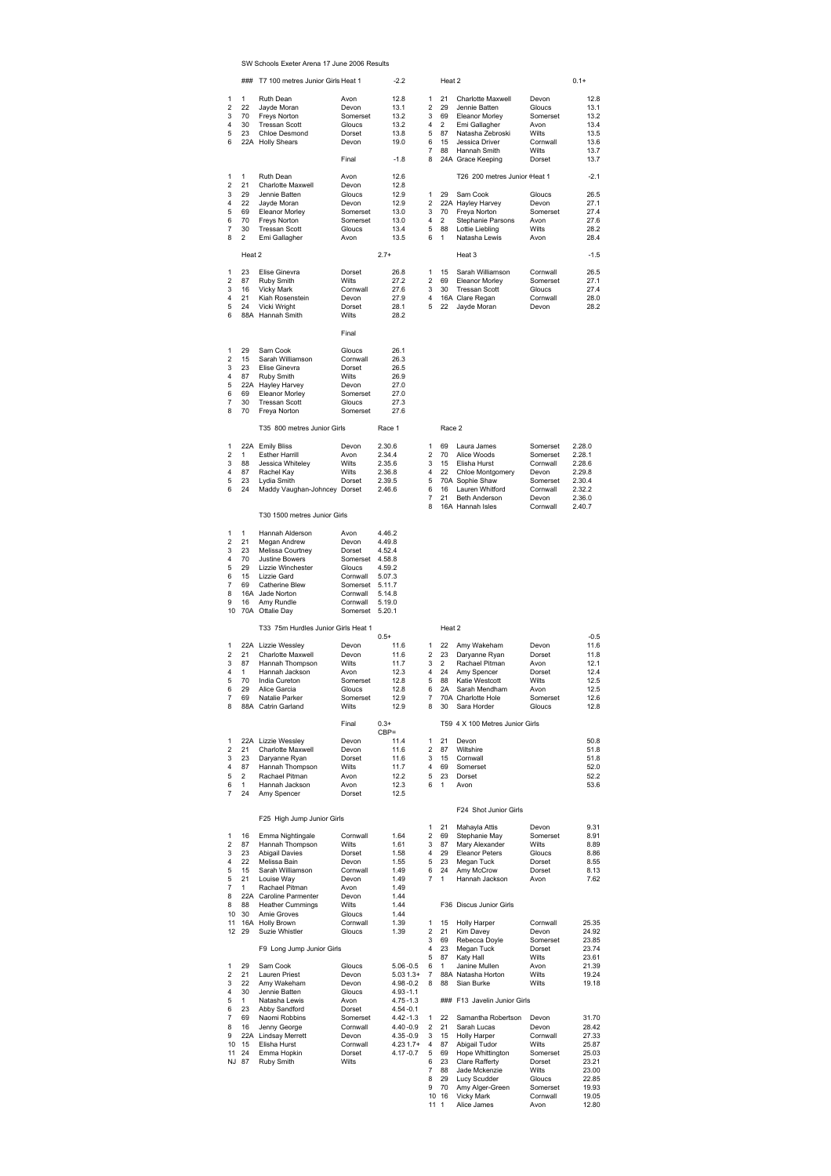|          | ###                | T7 100 metres Junior Girls Heat 1             |                             | $-2.2$                       |                              | Heat 2       |                                         |                      | $0.1 +$          |
|----------|--------------------|-----------------------------------------------|-----------------------------|------------------------------|------------------------------|--------------|-----------------------------------------|----------------------|------------------|
| 1        | $\mathbf{1}$       | Ruth Dean                                     | Avon                        | 12.8                         | 1                            | 21           | <b>Charlotte Maxwell</b>                | Devon                | 12.8             |
| 2<br>3   | 22<br>70           | Jayde Moran<br>Freys Norton                   | Devon<br>Somerset           | 13.1<br>13.2                 | 2<br>3                       | 29<br>69     | Jennie Batten<br><b>Eleanor Morley</b>  | Gloucs<br>Somerset   | 13.1<br>13.2     |
| 4        | 30                 | <b>Tressan Scott</b>                          | Gloucs                      | 13.2                         | 4                            | 2            | Emi Gallagher                           | Avon                 | 13.4             |
| 5<br>6   | 23                 | Chloe Desmond<br>22A Holly Shears             | Dorset<br>Devon             | 13.8<br>19.0                 | 5<br>6                       | 87<br>15     | Natasha Zebroski<br>Jessica Driver      | Wilts<br>Cornwall    | 13.5<br>13.6     |
|          |                    |                                               |                             |                              | 7                            | 88           | Hannah Smith                            | Wilts                | 13.7             |
|          |                    |                                               | Final                       | $-1.8$                       | 8                            |              | 24A Grace Keeping                       | Dorset               | 13.7             |
| 1<br>2   | 1<br>21            | Ruth Dean<br>Charlotte Maxwell                | Avon<br>Devon               | 12.6<br>12.8                 |                              |              | T26 200 metres Junior Heat 1            |                      | $-2.1$           |
| 3        | 29                 | Jennie Batten                                 | Gloucs                      | 12.9                         | 1                            | 29           | Sam Cook                                | Gloucs               | 26.5             |
| 4<br>5   | 22<br>69           | Jayde Moran<br>Eleanor Morley                 | Devon<br>Somerset           | 12.9<br>13.0                 | 2<br>3                       | 70           | 22A Hayley Harvey<br>Freya Norton       | Devon<br>Somerset    | 27.1<br>27.4     |
| 6        | 70                 | Freys Norton                                  | Somerset                    | 13.0                         | 4                            | 2            | Stephanie Parsons                       | Avon                 | 27.6             |
| 7<br>8   | 30<br>2            | <b>Tressan Scott</b><br>Emi Gallagher         | Gloucs<br>Avon              | 13.4<br>13.5                 | 5<br>6                       | 88<br>1      | Lottie Liebling<br>Natasha Lewis        | Wilts<br>Avon        | 28.2<br>28.4     |
|          | Heat 2             |                                               |                             | $2.7+$                       |                              |              | Heat <sub>3</sub>                       |                      | $-1.5$           |
|          | 23                 |                                               |                             | 26.8                         | 1                            | 15           | Sarah Williamson                        | Cornwall             |                  |
| 1<br>2   | 87                 | Elise Ginevra<br><b>Ruby Smith</b>            | Dorset<br>Wilts             | 27.2                         | 2                            | 69           | <b>Eleanor Morley</b>                   | Somerset             | 26.5<br>27.1     |
| 3<br>4   | 16<br>21           | <b>Vicky Mark</b><br>Kiah Rosenstein          | Cornwall<br>Devon           | 27.6<br>27.9                 | 3<br>4                       | 30           | <b>Tressan Scott</b><br>16A Clare Regan | Gloucs<br>Cornwall   | 27.4<br>28.0     |
| 5        | 24                 | Vicki Wright                                  | Dorset                      | 28.1                         | 5                            | 22           | Jayde Moran                             | Devon                | 28.2             |
| 6        |                    | 88A Hannah Smith                              | Wilts                       | 28.2                         |                              |              |                                         |                      |                  |
|          |                    |                                               | Final                       |                              |                              |              |                                         |                      |                  |
| 1<br>2   | 29<br>15           | Sam Cook<br>Sarah Williamson                  | Gloucs<br>Cornwall          | 26.1<br>26.3                 |                              |              |                                         |                      |                  |
| 3        | 23                 | Elise Ginevra                                 | Dorset                      | 26.5                         |                              |              |                                         |                      |                  |
| 4<br>5   | 87                 | Ruby Smith<br>22A Hayley Harvey               | Wilts<br>Devon              | 26.9<br>27.0                 |                              |              |                                         |                      |                  |
| 6<br>7   | 69<br>30           | <b>Eleanor Morley</b><br><b>Tressan Scott</b> | Somerset<br>Gloucs          | 27.0<br>27.3                 |                              |              |                                         |                      |                  |
| 8        | 70                 | Freya Norton                                  | Somerset                    | 27.6                         |                              |              |                                         |                      |                  |
|          |                    | T35 800 metres Junior Girls                   |                             | Race 1                       |                              | Race 2       |                                         |                      |                  |
| 1        |                    | 22A Emily Bliss                               | Devon                       | 2.30.6                       | 1                            | 69           | Laura James                             | Somerset             | 2.28.0           |
| 2<br>3   | 1<br>88            | <b>Esther Harrill</b><br>Jessica Whiteley     | Avon<br><b>Wilts</b>        | 2.34.4<br>2.35.6             | 2<br>3                       | 70<br>15     | Alice Woods<br>Elisha Hurst             | Somerset<br>Cornwall | 2.28.1<br>2.28.6 |
| 4        | 87                 | Rachel Kay                                    | Wilts                       | 2.36.8                       | 4                            | 22           | Chloe Montgomery                        | Devon                | 2.29.8           |
| 5<br>6   | 23<br>24           | Lydia Smith<br>Maddy Vaughan-Johncey Dorset   | Dorset                      | 2.39.5<br>2.46.6             | 5<br>6                       | 16           | 70A Sophie Shaw<br>Lauren Whitford      | Somerset<br>Cornwall | 2.30.4<br>2.32.2 |
|          |                    |                                               |                             |                              | $\overline{7}$<br>8          | 21           | Beth Anderson<br>16A Hannah Isles       | Devon<br>Cornwall    | 2.36.0<br>2.40.7 |
|          |                    | T30 1500 metres Junior Girls                  |                             |                              |                              |              |                                         |                      |                  |
| 1        | 1                  | Hannah Alderson                               | Avon                        | 4.46.2                       |                              |              |                                         |                      |                  |
| 2<br>3   | 21<br>23           | Megan Andrew<br>Melissa Courtney              | Devon<br>Dorset             | 4.49.8<br>4.52.4             |                              |              |                                         |                      |                  |
| 4<br>5   | 70<br>29           | Justine Bowers<br>Lizzie Winchester           | Somerset 4.58.8<br>Gloucs   | 4.59.2                       |                              |              |                                         |                      |                  |
| 6        | 15                 | Lizzie Gard                                   | Cornwall                    | 5.07.3                       |                              |              |                                         |                      |                  |
| 7<br>8   | 69                 | Catherine Blew<br>16A Jade Norton             | Somerset 5.11.7<br>Cornwall | 5.14.8                       |                              |              |                                         |                      |                  |
| 9<br>10  | 16                 | Amy Rundle<br>70A Ottalie Day                 | Cornwall<br>Somerset 5.20.1 | 5.19.0                       |                              |              |                                         |                      |                  |
|          |                    |                                               |                             |                              |                              |              |                                         |                      |                  |
|          |                    | T33 75m Hurdles Junior Girls Heat 1           |                             | $0.5+$                       |                              | Heat 2       |                                         |                      | $-0.5$           |
| 1<br>2   | 21                 | 22A Lizzie Wessley<br>Charlotte Maxwell       | Devon<br>Devon              | 11.6<br>11.6                 | 1<br>2                       | 22<br>23     | Amy Wakeham<br>Daryanne Ryan            | Devon<br>Dorset      | 11.6<br>11.8     |
| 3        | 87                 | Hannah Thompson                               | Wilts                       | 11.7                         | 3                            | 2            | Rachael Pitman                          | Avon                 | 12.1             |
| 4<br>5   | $\mathbf{1}$<br>70 | Hannah Jackson<br>India Cureton               | Avon<br>Somerset            | 12.3<br>12.8                 | $\overline{4}$<br>5          | 24<br>88     | Amy Spencer<br>Katie Westcott           | Dorset<br>Wilts      | 12.4<br>12.5     |
| 6        | 29<br>69           | Alice Garcia                                  | Gloucs                      | 12.8                         | 6<br>7                       | 2A<br>70A    | Sarah Mendham                           | Avon<br>Somerset     | 12.5             |
| 8        |                    | Natalie Parker<br>88A Catrin Garland          | Somerset<br>Wilts           | 12.9<br>12.9                 | 8                            | 30           | <b>Charlotte Hole</b><br>Sara Horder    | Gloucs               | 12.6<br>12.8     |
|          |                    |                                               | Final                       | $0.3+$                       |                              |              | T59 4 X 100 Metres Junior Girls         |                      |                  |
| 1        |                    | 22A Lizzie Wessley                            | Devon                       | $CBP =$<br>11.4              | 1                            | 21           | Devon                                   |                      | 50.8             |
| 2        | 21                 | Charlotte Maxwell                             | Devon                       | 11.6                         | $\overline{2}$               | - 87         | Wiltshire                               |                      | 51.8             |
| 3<br>4   | 23<br>87           | Daryanne Ryan<br>Hannah Thompson              | Dorset<br>Wilts             | 11.6<br>11.7                 | 3<br>4                       | 15<br>69     | Cornwall<br>Somerset                    |                      | 51.8<br>52.0     |
| 5        | $\overline{2}$     | Rachael Pitman                                | Avon                        | 12.2                         |                              | 5 23         | Dorset                                  |                      | 52.2             |
| 6<br>7   | 1<br>24            | Hannah Jackson<br>Amy Spencer                 | Avon<br>Dorset              | 12.3<br>12.5                 | 6                            | $\mathbf{1}$ | Avon                                    |                      | 53.6             |
|          |                    |                                               |                             |                              |                              |              | F24 Shot Junior Girls                   |                      |                  |
|          |                    | F25 High Jump Junior Girls                    |                             |                              | 1                            | 21           | Mahayla Attis                           | Devon                | 9.31             |
| 1<br>2   | 16<br>87           | Emma Nightingale<br>Hannah Thompson           | Cornwall<br><b>Wilts</b>    | 1.64<br>1.61                 | $\overline{\mathbf{c}}$<br>3 | 69<br>87     | Stephanie May<br>Mary Alexander         | Somerset<br>Wilts    | 8.91<br>8.89     |
| 3        | 23                 | Abigail Davies                                | Dorset                      | 1.58                         | 4                            | 29           | Eleanor Peters                          | Gloucs               | 8.86             |
| 4<br>5   | 22<br>15           | Melissa Bain<br>Sarah Williamson              | Devon<br>Cornwall           | 1.55<br>1.49                 | 5<br>6                       | 23<br>24     | Megan Tuck<br>Amy McCrow                | Dorset<br>Dorset     | 8.55<br>8.13     |
| 5        | 21                 | Louise Way                                    | Devon                       | 1.49                         | $\overline{7}$               | $\mathbf{1}$ | Hannah Jackson                          | Avon                 | 7.62             |
| 7<br>8   | 1                  | Rachael Pitman<br>22A Caroline Parmenter      | Avon<br>Devon               | 1.49<br>1.44                 |                              |              |                                         |                      |                  |
| 8<br>10  | 88<br>30           | <b>Heather Cummings</b><br>Amie Groves        | Wilts<br>Gloucs             | 1.44<br>1.44                 |                              |              | F36 Discus Junior Girls                 |                      |                  |
| 11       |                    | 16A Holly Brown                               | Cornwall                    | 1.39                         | 1                            | 15           | <b>Holly Harper</b>                     | Cornwall             | 25.35            |
|          | 12 29              | Suzie Whistler                                | Gloucs                      | 1.39                         | 2<br>3                       | 21<br>69     | Kim Davey<br>Rebecca Doyle              | Devon<br>Somerset    | 24.92<br>23.85   |
|          |                    | F9 Long Jump Junior Girls                     |                             |                              | 4<br>5                       | 23<br>87     | Megan Tuck<br>Katy Hall                 | Dorset<br>Wilts      | 23.74<br>23.61   |
| 1        | 29                 | Sam Cook                                      | Gloucs                      | $5.06 - 0.5$                 | 6                            | 1            | Janine Mullen                           | Avon                 | 21.39            |
| 2<br>3   | 21<br>22           | Lauren Priest<br>Amy Wakeham                  | Devon<br>Devon              | $5.031.3+$<br>4.98 - 0.2     | $\overline{7}$<br>8          |              | 88A Natasha Horton<br>88 Sian Burke     | Wilts<br>Wilts       | 19.24<br>19.18   |
| 4        | 30                 | Jennie Batten                                 | Gloucs                      | $4.93 - 1.1$                 |                              |              |                                         |                      |                  |
| 5<br>6   | 1<br>23            | Natasha Lewis<br>Abby Sandford                | Avon<br>Dorset              | $4.75 - 1.3$<br>$4.54 - 0.1$ |                              |              | ### F13 Javelin Junior Girls            |                      |                  |
| 7<br>8   | 69<br>16           | Naomi Robbins<br>Jenny George                 | Somerset<br>Cornwall        | $4.42 - 1.3$<br>4.40 - 0.9   | 1<br>2 21                    | 22           | Samantha Robertson<br>Sarah Lucas       | Devon<br>Devon       | 31.70<br>28.42   |
| 9        |                    | 22A Lindsay Merrett                           | Devon                       | $4.35 - 0.9$                 | 3                            | 15           | Holly Harper                            | Cornwall             | 27.33            |
| 10<br>11 | 15<br>24           | Elisha Hurst<br>Emma Hopkin                   | Cornwall<br>Dorset          | $4.231.7+$<br>$4.17 - 0.7$   | 4<br>5                       | 87<br>69     | Abigail Tudor<br>Hope Whittington       | Wilts<br>Somerset    | 25.87<br>25.03   |
|          | NJ 87              | Ruby Smith                                    | Wilts                       |                              | 6                            | 23           | Clare Rafferty                          | Dorset               | 23.21            |
|          |                    |                                               |                             |                              | 7<br>8                       | 88<br>29     | Jade Mckenzie<br>Lucy Scudder           | Wilts<br>Gloucs      | 23.00<br>22.85   |
|          |                    |                                               |                             |                              | 9                            | 70<br>10 16  | Amy Alger-Green                         | Somerset<br>Cornwall | 19.93<br>19.05   |
|          |                    |                                               |                             |                              | 111                          |              | <b>Vicky Mark</b><br>Alice James        | Avon                 | 12.80            |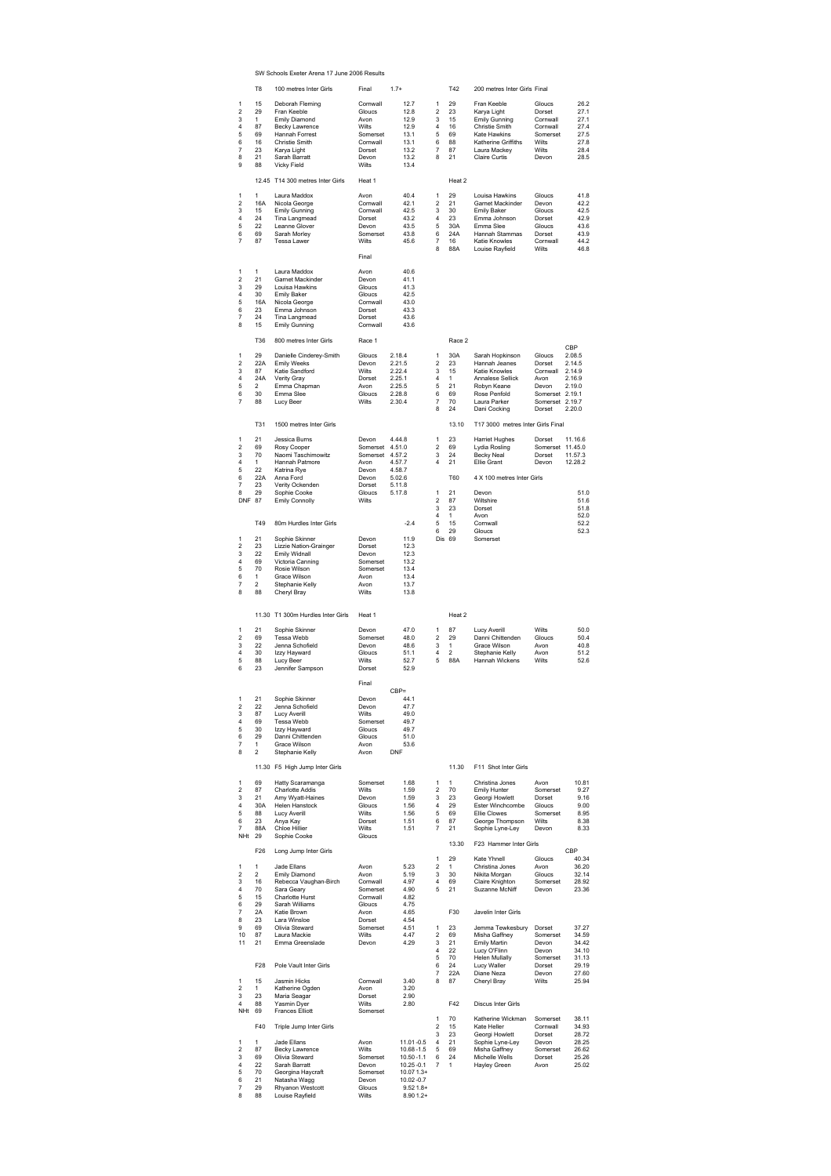|                     | T8                    | 100 metres Inter Girls                        | Final                              | $1.7+$                         |                               | T42                | 200 metres Inter Girls Final           |                                    |                  |
|---------------------|-----------------------|-----------------------------------------------|------------------------------------|--------------------------------|-------------------------------|--------------------|----------------------------------------|------------------------------------|------------------|
| 1                   | 15                    | Deborah Fleming                               | Cornwall                           | 12.7                           | $\mathbf{1}$                  | 29                 | Fran Keeble                            | Gloucs                             | 26.2             |
| 2<br>3              | 29<br>1               | Fran Keeble<br><b>Emily Diamond</b>           | Gloucs<br>Avon                     | 12.8<br>12.9                   | 2<br>3                        | 23<br>15           | Karya Light<br><b>Emily Gunning</b>    | Dorset<br>Cornwall                 | 27.1<br>27.1     |
| 4<br>5              | 87<br>69              | Becky Lawrence<br>Hannah Forrest              | Wilts<br>Somerset                  | 12.9<br>13.1                   | 4<br>5                        | 16<br>69           | Christie Smith<br>Kate Hawkins         | Cornwall<br>Somerset               | 27.4<br>27.5     |
| 6                   | 16                    | Christie Smith                                | Cornwall                           | 13.1                           | 6                             | 88                 | Katherine Griffiths                    | Wilts                              | 27.8             |
| 7<br>8              | 23<br>21              | Karya Light<br>Sarah Barratt                  | Dorset<br>Devon                    | 13.2<br>13.2                   | 7<br>8                        | 87<br>21           | Laura Mackey<br><b>Claire Curtis</b>   | Wilts<br>Devon                     | 28.4<br>28.5     |
| 9                   | 88                    | Vicky Field                                   | Wilts                              | 13.4                           |                               |                    |                                        |                                    |                  |
|                     |                       | 12.45 T14 300 metres Inter Girls              | Heat 1                             |                                |                               | Heat 2             |                                        |                                    |                  |
| 1<br>2              | 1<br>16A              | Laura Maddox<br>Nicola George                 | Avon<br>Cornwall                   | 40.4<br>42.1                   | 1<br>$\overline{\mathbf{c}}$  | 29<br>21           | Louisa Hawkins<br>Garnet Mackinder     | Gloucs<br>Devon                    | 41.8<br>42.2     |
| 3                   | 15                    | <b>Emily Gunning</b>                          | Cornwall                           | 42.5                           | 3                             | 30                 | <b>Emily Baker</b>                     | Gloucs                             | 42.5             |
| 4<br>5              | 24<br>22              | Tina Langmead<br>Leanne Glover                | Dorset<br>Devon                    | 43.2<br>43.5                   | 4<br>5                        | 23<br>30A          | Emma Johnson<br>Emma Slee              | Dorset<br>Gloucs                   | 42.9<br>43.6     |
| 6<br>7              | 69<br>87              | Sarah Morley<br>Tessa Lawer                   | Somerset<br><b>Wilts</b>           | 43.8<br>45.6                   | 6<br>$\overline{7}$           | 24A<br>16          | Hannah Stammas<br>Katie Knowles        | Dorset<br>Cornwall                 | 43.9<br>44.2     |
|                     |                       |                                               | Final                              |                                | 8                             | 88A                | Louise Rayfield                        | Wilts                              | 46.8             |
|                     |                       |                                               |                                    |                                |                               |                    |                                        |                                    |                  |
| 1<br>$\overline{2}$ | 1<br>21               | Laura Maddox<br>Garnet Mackinder              | Avon<br>Devon                      | 40.6<br>41.1                   |                               |                    |                                        |                                    |                  |
| 3<br>4              | 29<br>30              | Louisa Hawkins<br><b>Emily Baker</b>          | Gloucs<br>Gloucs                   | 41.3<br>42.5                   |                               |                    |                                        |                                    |                  |
| 5<br>6              | 16A<br>23             | Nicola George<br>Emma Johnson                 | Cornwall<br>Dorset                 | 43.0<br>43.3                   |                               |                    |                                        |                                    |                  |
| 7                   | 24                    | Tina Langmead                                 | Dorset                             | 43.6                           |                               |                    |                                        |                                    |                  |
| 8                   | 15                    | <b>Emily Gunning</b>                          | Cornwall                           | 43.6                           |                               |                    |                                        |                                    |                  |
|                     | <b>T36</b>            | 800 metres Inter Girls                        | Race 1                             |                                |                               | Race 2             |                                        |                                    | CBP              |
| 1<br>2              | 29<br>22A             | Danielle Cinderey-Smith<br><b>Emily Weeks</b> | Gloucs<br>Devon                    | 2.18.4<br>2.21.5               | $\mathbf{1}$<br>2             | 30A<br>23          | Sarah Hopkinson<br>Hannah Jeanes       | Gloucs<br>Dorset                   | 2.08.5<br>2.14.5 |
| 3                   | 87                    | Katie Sandford                                | <b>Wilts</b><br>Dorset             | 2224                           | 3                             | 15                 | Katie Knowles                          | Cornwall                           | 2.14.9           |
| 4<br>5              | 24A<br>$\overline{2}$ | Verity Gray<br>Emma Chapman                   | Avon                               | 2.25.1<br>2.25.5               | 4<br>5                        | 1<br>21            | Annalese Sellick<br>Robyn Keane        | Avon<br>Devon                      | 2.16.9<br>2.19.0 |
| 6<br>7              | 30<br>88              | Emma Slee<br>Lucy Beer                        | Gloucs<br>Wilts                    | 2.28.8<br>2.30.4               | 6<br>7                        | 69<br>70           | Rose Penfold<br>Laura Parker           | Somerset 2.19.1<br>Somerset 2.19.7 |                  |
|                     |                       |                                               |                                    |                                | 8                             | 24                 | Dani Cocking                           | Dorset                             | 2200             |
|                     | <b>T31</b>            | 1500 metres Inter Girls                       |                                    |                                |                               | 13.10              | T17 3000 metres Inter Girls Final      |                                    |                  |
| 1                   | 21                    | Jessica Burns                                 | Devon                              | 4.44.8                         | $\mathbf{1}$                  | 23                 | <b>Harriet Hughes</b>                  | Dorset                             | 11.16.6          |
| $\overline{2}$<br>3 | 69<br>70              | Rosy Cooper<br>Naomi Taschimowitz             | Somerset 4.51.0<br>Somerset 4.57.2 |                                | 2<br>3                        | 69<br>24           | Lydia Rosling<br>Becky Neal            | Somerset 11.45.0<br>Dorset         | 11.573           |
| 4<br>5              | 1<br>22               | Hannah Patmore<br>Katrina Rye                 | Avon<br>Devon                      | 4.57.7<br>4.58.7               | 4                             | 21                 | Ellie Grant                            | Devon                              | 12.28.2          |
| 6<br>7              | 22A<br>23             | Anna Ford                                     | Devon<br>Dorset                    | 5.02.6<br>5.11.8               |                               | <b>T60</b>         | 4 X 100 metres Inter Girls             |                                    |                  |
| 8                   | 29                    | Verity Ockenden<br>Sophie Cooke               | Gloucs                             | 5.17.8                         | 1                             | 21                 | Devon                                  |                                    | 51.0             |
| <b>DNF 87</b>       |                       | <b>Emily Connolly</b>                         | Wilts                              |                                | $\overline{\phantom{a}}$<br>3 | 87<br>23           | Wiltshire<br>Dorset                    |                                    | 51.6<br>51.8     |
|                     | T49                   | 80m Hurdles Inter Girls                       |                                    | $-2.4$                         | 4<br>5                        | 1<br>15            | Avon<br>Cornwall                       |                                    | 52.0<br>52.2     |
| 1                   | 21                    | Sophie Skinner                                | Devon                              | 11.9                           | 6<br>Dis 69                   | 29                 | Gloucs<br>Somerset                     |                                    | 52.3             |
| 2                   | 23                    | Lizzie Nation-Grainger                        | Dorset                             | 12.3                           |                               |                    |                                        |                                    |                  |
| 3<br>4              | 22<br>69              | <b>Emily Widnall</b><br>Victoria Canning      | Devon<br>Somerset                  | 12.3<br>13.2                   |                               |                    |                                        |                                    |                  |
| 5<br>6              | 70<br>1               | Rosie Wilson<br>Grace Wilson                  | Somerset<br>Avon                   | 13.4<br>13.4                   |                               |                    |                                        |                                    |                  |
| $\overline{7}$<br>8 | $\mathfrak{p}$<br>88  | Stephanie Kelly<br>Cheryl Bray                | Avon<br>Wilts                      | 13.7<br>13.8                   |                               |                    |                                        |                                    |                  |
|                     |                       |                                               |                                    |                                |                               |                    |                                        |                                    |                  |
|                     |                       | 11.30 T1 300m Hurdles Inter Girls             | Heat 1                             |                                |                               | Heat 2             |                                        |                                    |                  |
| 1                   | 21                    | Sophie Skinner                                | Devon                              | 47.0                           | 1                             | 87                 | <b>Lucy Averill</b>                    | Wilts                              | 50.0             |
| $\overline{2}$<br>3 | 69<br>22              | Tessa Webb<br>Jenna Schofield                 | Somerset<br>Devon                  | 48.0<br>48.6                   | $\overline{2}$<br>3           | 29<br>1            | Danni Chittenden<br>Grace Wilson       | Gloucs<br>Avon                     | 50.4<br>40.8     |
| 4<br>5              | 30<br>88              | Izzy Hayward<br>Lucy Beer                     | Gloucs<br>Wilts                    | 51.1<br>52.7                   | 4<br>5                        | $\mathbf 2$<br>88A | Stephanie Kelly<br>Hannah Wickens      | Avon<br>Wilts                      | 51.2<br>52.6     |
| 6                   | 23                    | Jennifer Sampson                              | Dorset                             | 52.9                           |                               |                    |                                        |                                    |                  |
|                     |                       |                                               | Final                              |                                |                               |                    |                                        |                                    |                  |
| 1                   | 21                    | Sophie Skinner                                | Devon                              | $CBP =$<br>44.1                |                               |                    |                                        |                                    |                  |
| 3                   | 87                    | Jenna Schofield<br>Lucy Averill               | <b>JEVUII</b><br>Wilts             | 49.0                           |                               |                    |                                        |                                    |                  |
| 4<br>5              | 69<br>30              | Tessa Webb                                    | Somerset                           | 49.7<br>49.7                   |                               |                    |                                        |                                    |                  |
| 6                   | 29                    | Izzy Hayward<br>Danni Chittenden              | Gloucs<br>Gloucs                   | 51.0                           |                               |                    |                                        |                                    |                  |
| 7<br>8              | 1<br>2                | Grace Wilson<br>Stephanie Kelly               | Avon<br>Avon                       | 53.6<br><b>DNF</b>             |                               |                    |                                        |                                    |                  |
|                     |                       | 11.30 F5 High Jump Inter Girls                |                                    |                                |                               | 11.30              | F11 Shot Inter Girls                   |                                    |                  |
|                     |                       |                                               | Somerset                           |                                |                               |                    |                                        | Avon                               |                  |
| 1<br>$\overline{2}$ | 69<br>87              | Hatty Scaramanga<br>Charlotte Addis           | Wilts                              | 1.68<br>1.59                   | 1<br>2                        | 1<br>70            | Christina Jones<br><b>Emily Hunter</b> | Somerset                           | 10.81<br>9.27    |
| 3<br>4              | 21<br>30A             | Amy Wyatt-Haines<br>Helen Hanstock            | Devon<br>Gloucs                    | 1.59<br>1.56                   | 3<br>4                        | 23<br>29           | Georgi Howlett<br>Ester Winchcombe     | Dorset<br>Gloucs                   | 9.16<br>9.00     |
| 5<br>6              | 88<br>23              | <b>Lucy Averill</b><br>Anva Kav               | <b>Wilts</b><br>Dorset             | 1.56<br>1.51                   | 5<br>6                        | 69<br>87           | Ellie Clowes<br>George Thompson        | Somerset<br>Wilts                  | 8.95<br>8.38     |
| 7<br><b>NHt</b>     | 88A<br>29             | Chloe Hillier<br>Sophie Cooke                 | Wilts<br>Gloucs                    | 1.51                           | 7                             | 21                 | Sophie Lyne-Ley                        | Devon                              | 8.33             |
|                     |                       |                                               |                                    |                                |                               | 13.30              | F23 Hammer Inter Girls                 |                                    |                  |
|                     | F26                   | Long Jump Inter Girls                         |                                    |                                | $\mathbf{1}$                  | 29                 | Kate Yhnell                            | Gloucs                             | CBP<br>40.34     |
| 1<br>$\overline{2}$ | 1<br>$\overline{2}$   | Jade Ellans<br><b>Emily Diamond</b>           | Avon<br>Avon                       | 5.23<br>5.19                   | 2<br>3                        | 1<br>30            | Christina Jones<br>Nikita Morgan       | Avon<br>Gloucs                     | 36.20<br>32.14   |
| 3<br>4              | 16<br>70              | Rebecca Vaughan-Birch<br>Sara Geary           | Cornwall<br>Somerset               | 4.97<br>4.90                   | $\overline{\mathbf{4}}$<br>5  | 69<br>21           | Claire Knighton<br>Suzanne McNiff      | Somerset<br>Devon                  | 28.92<br>23.36   |
| 5                   | 15                    | Charlotte Hurst                               | Cornwall                           | 4.82                           |                               |                    |                                        |                                    |                  |
| 6<br>7              | 29<br>2A              | Sarah Williams<br>Katie Brown                 | Gloucs<br>Avon                     | 4.75<br>4.65                   |                               | F30                | Javelin Inter Girls                    |                                    |                  |
| 8<br>9              | 23<br>69              | Lara Winsloe<br>Olivia Steward                | Dorset<br>Somerset                 | 4.54<br>4.51                   | $\mathbf{1}$                  | 23                 | Jemma Tewkesbury                       | Dorset                             | 37.27            |
| 10<br>11            | 87<br>21              | Laura Mackie<br>Emma Greenslade               | Wilts<br>Devon                     | 4.47<br>4.29                   | $\overline{2}$<br>3           | 69<br>21           | Misha Gaffney<br><b>Emily Martin</b>   | Somerset<br>Devon                  | 34.59<br>34.42   |
|                     |                       |                                               |                                    |                                | 4<br>5                        | 22<br>70           | Lucy O'Flinn                           | Devon<br>Somerset                  | 34.10<br>31.13   |
|                     | F28                   | Pole Vault Inter Girls                        |                                    |                                | 6                             | 24                 | Helen Mullally<br>Lucy Waller          | Dorset                             | 29.19            |
| 1                   | 15                    | Jasmin Hicks                                  | Cornwall                           | 3.40                           | 7<br>8                        | 22A<br>87          | Diane Neza<br>Cheryl Bray              | Devon<br>Wilts                     | 27.60<br>25.94   |
| $\overline{a}$<br>3 | 1.<br>23              | Katherine Ogden<br>Maria Seagar               | Avon<br>Dorset                     | 3.20<br>2.90                   |                               |                    |                                        |                                    |                  |
| 4<br>NHt 69         | 88                    | Yasmin Dyer<br><b>Frances Elliott</b>         | Wilts<br>Somerset                  | 2.80                           |                               | F42                | Discus Inter Girls                     |                                    |                  |
|                     |                       |                                               |                                    |                                | 1<br>$\overline{\phantom{a}}$ | 70                 | Katherine Wickman                      | Somerset                           | 38.11            |
|                     | F40                   | Triple Jump Inter Girls                       |                                    |                                | 3                             | 15<br>23           | Kate Heller<br>Georgi Howlett          | Cornwall<br>Dorset                 | 34.93<br>28.72   |
| 1<br>$\overline{2}$ | 1<br>87               | Jade Ellans<br>Becky Lawrence                 | Avon<br>Wilts                      | 11.01-0.5<br>$10.68 - 1.5$     | 4<br>5                        | 21<br>69           | Sophie Lyne-Ley<br>Misha Gaffney       | Devon<br>Somerset                  | 28.25<br>26.62   |
| 3<br>4              | 69<br>22              | Olivia Steward<br>Sarah Barratt               | Somerset<br>Devon                  | $10.50 - 1.1$<br>$10.25 - 0.1$ | 6<br>7                        | 24<br>1            | Michelle Wells<br>Hayley Green         | Dorset<br>Avon                     | 25.26<br>25.02   |
| 5<br>6              | 70<br>21              | Georgina Haycraft<br>Natasha Wagg             | Somerset<br>Devon                  | 10.071.3+<br>$10.02 - 0.7$     |                               |                    |                                        |                                    |                  |
| 7<br>8              | 29<br>88              | Rhyanon Westcott                              | Gloucs<br>Wilts                    | $9.521.8+$<br>$8.901.2+$       |                               |                    |                                        |                                    |                  |
|                     |                       | Louise Rayfield                               |                                    |                                |                               |                    |                                        |                                    |                  |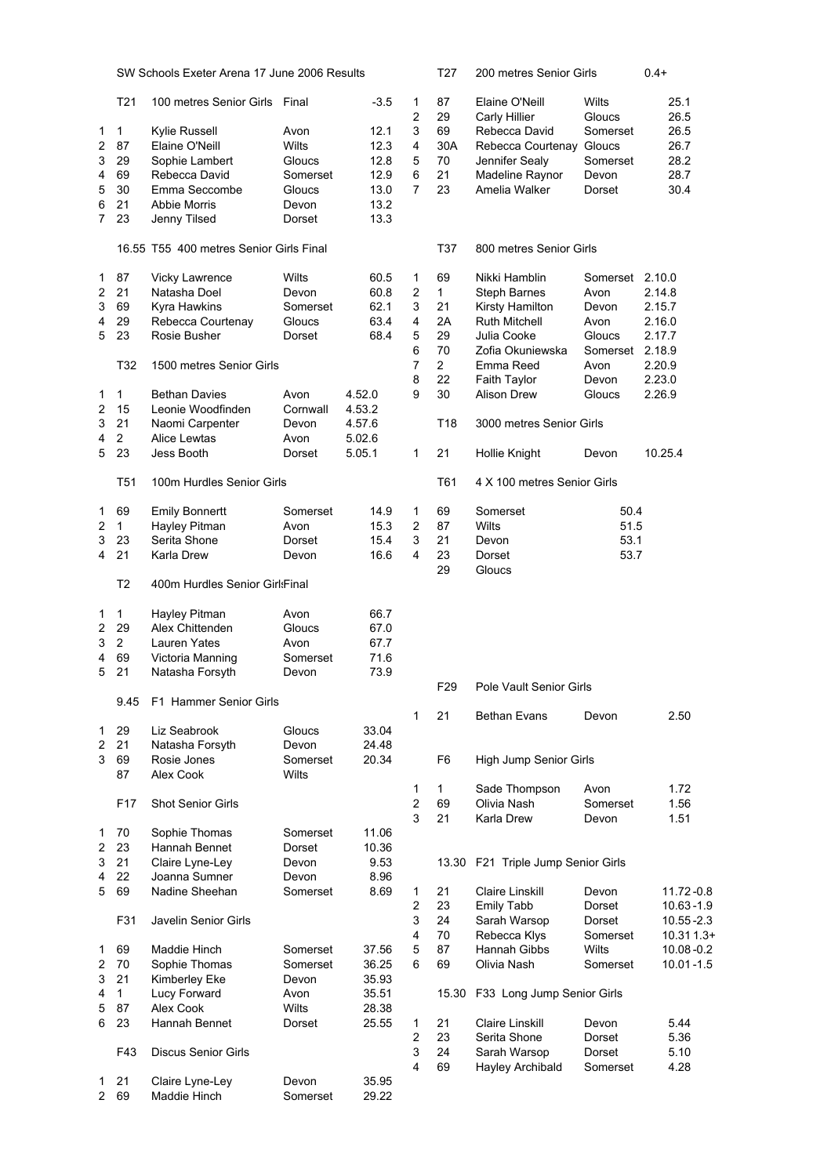|                |                      | SW Schools Exeter Arena 17 June 2006 Results |                      |                  |                              | T27             | 200 metres Senior Girls             |                   | $0.4 +$                        |
|----------------|----------------------|----------------------------------------------|----------------------|------------------|------------------------------|-----------------|-------------------------------------|-------------------|--------------------------------|
|                | T <sub>21</sub>      | 100 metres Senior Girls Final                |                      | $-3.5$           | 1<br>$\overline{\mathbf{c}}$ | 87<br>29        | Elaine O'Neill<br>Carly Hillier     | Wilts<br>Gloucs   | 25.1<br>26.5                   |
| 1              | 1                    | Kylie Russell                                | Avon                 | 12.1             | 3                            | 69              | Rebecca David                       | Somerset          | 26.5                           |
| 2              | 87                   | Elaine O'Neill                               | Wilts                | 12.3             | 4                            | 30A             | Rebecca Courtenay Gloucs            |                   | 26.7                           |
| 3              | 29                   | Sophie Lambert                               | Gloucs               | 12.8             | 5                            | 70              | Jennifer Sealy                      | Somerset          | 28.2                           |
| 4              | 69                   | Rebecca David                                | Somerset             | 12.9             | 6                            | 21              | Madeline Raynor                     | Devon             | 28.7                           |
| 5              | 30                   | Emma Seccombe                                | Gloucs               | 13.0             | $\overline{7}$               | 23              | Amelia Walker                       | Dorset            | 30.4                           |
| 6              | 21                   | <b>Abbie Morris</b>                          | Devon                | 13.2             |                              |                 |                                     |                   |                                |
| 7              | 23                   | Jenny Tilsed                                 | Dorset               | 13.3             |                              |                 |                                     |                   |                                |
|                |                      |                                              |                      |                  |                              |                 |                                     |                   |                                |
|                |                      | 16.55 T55 400 metres Senior Girls Final      |                      |                  |                              | T37             | 800 metres Senior Girls             |                   |                                |
| 1              | 87                   | <b>Vicky Lawrence</b>                        | Wilts                | 60.5             | $\mathbf{1}$                 | 69              | Nikki Hamblin                       | Somerset 2.10.0   |                                |
| 2              | 21                   | Natasha Doel                                 | Devon                | 60.8             | $\overline{2}$               | $\mathbf{1}$    | Steph Barnes                        | Avon              | 2.14.8                         |
| 3              | 69                   | Kyra Hawkins                                 | Somerset             | 62.1             | 3                            | 21              | Kirsty Hamilton                     | Devon             | 2.15.7                         |
| 4              | 29                   | Rebecca Courtenay                            | Gloucs               | 63.4             | $\overline{4}$               | 2A              | <b>Ruth Mitchell</b>                | Avon              | 2.16.0                         |
| 5              | 23                   | Rosie Busher                                 | Dorset               | 68.4             | 5                            | 29              | Julia Cooke                         | Gloucs            | 2.17.7                         |
|                |                      |                                              |                      |                  | 6                            | 70              | Zofia Okuniewska                    | Somerset          | 2.18.9                         |
|                | T32                  | 1500 metres Senior Girls                     |                      |                  | $\overline{7}$               | $\overline{a}$  | Emma Reed                           | Avon              | 2.20.9                         |
|                |                      |                                              |                      |                  | 8                            | 22              | <b>Faith Taylor</b>                 | Devon             | 2.23.0                         |
| 1              | $\mathbf{1}$         | <b>Bethan Davies</b>                         | Avon                 | 4.52.0           | 9                            | 30              | <b>Alison Drew</b>                  | Gloucs            | 2.26.9                         |
| 2              | 15                   | Leonie Woodfinden                            | Cornwall             | 4.53.2           |                              |                 |                                     |                   |                                |
| 3<br>4         | 21<br>$\overline{2}$ | Naomi Carpenter<br>Alice Lewtas              | Devon<br>Avon        | 4.57.6<br>5.02.6 |                              | T18             | 3000 metres Senior Girls            |                   |                                |
| 5              | 23                   | Jess Booth                                   | Dorset               | 5.05.1           | 1                            | 21              | Hollie Knight                       | Devon             | 10.25.4                        |
|                | T51                  | 100m Hurdles Senior Girls                    |                      |                  |                              | T61             | 4 X 100 metres Senior Girls         |                   |                                |
|                |                      |                                              |                      |                  |                              |                 |                                     |                   |                                |
| 1              | 69                   | <b>Emily Bonnertt</b>                        | Somerset             | 14.9             | $\mathbf{1}$                 | 69              | Somerset                            | 50.4              |                                |
| 2              | $\mathbf{1}$         | Hayley Pitman                                | Avon                 | 15.3             | $\overline{2}$               | 87              | Wilts                               | 51.5              |                                |
| 3              | 23                   | Serita Shone                                 | Dorset               | 15.4             | 3                            | 21              | Devon                               | 53.1              |                                |
| 4              | 21                   | Karla Drew                                   | Devon                | 16.6             | 4                            | 23              | Dorset                              | 53.7              |                                |
|                | T <sub>2</sub>       | 400m Hurdles Senior Girl:Final               |                      |                  |                              | 29              | Gloucs                              |                   |                                |
| 1              | $\mathbf{1}$         | Hayley Pitman                                | Avon                 | 66.7             |                              |                 |                                     |                   |                                |
| 2              | 29                   | Alex Chittenden                              | Gloucs               | 67.0             |                              |                 |                                     |                   |                                |
| 3              | $\overline{2}$       | Lauren Yates                                 | Avon                 | 67.7             |                              |                 |                                     |                   |                                |
| 4              | 69                   | Victoria Manning                             | Somerset             | 71.6             |                              |                 |                                     |                   |                                |
| 5              | 21                   | Natasha Forsyth                              | Devon                | 73.9             |                              |                 |                                     |                   |                                |
|                |                      |                                              |                      |                  |                              | F <sub>29</sub> | Pole Vault Senior Girls             |                   |                                |
|                | 9.45                 | F1 Hammer Senior Girls                       |                      |                  | $\mathbf{1}$                 | 21              | <b>Bethan Evans</b>                 | Devon             | 2.50                           |
| 1              | 29                   | Liz Seabrook                                 | Gloucs               | 33.04            |                              |                 |                                     |                   |                                |
| 2              | 21                   | Natasha Forsyth                              | Devon                | 24.48            |                              |                 |                                     |                   |                                |
| 3              | 69                   | Rosie Jones                                  | Somerset             | 20.34            |                              | F6              | High Jump Senior Girls              |                   |                                |
|                | 87                   | Alex Cook                                    | Wilts                |                  |                              |                 |                                     |                   |                                |
|                |                      |                                              |                      |                  | $\mathbf 1$                  | 1               | Sade Thompson                       | Avon              | 1.72                           |
|                | F <sub>17</sub>      | <b>Shot Senior Girls</b>                     |                      |                  | $\overline{2}$               | 69              | Olivia Nash                         | Somerset          | 1.56                           |
|                |                      |                                              |                      |                  | 3                            | 21              | Karla Drew                          | Devon             | 1.51                           |
| 1              | 70                   | Sophie Thomas                                | Somerset             | 11.06            |                              |                 |                                     |                   |                                |
| 2              | 23                   | Hannah Bennet                                | Dorset               | 10.36            |                              |                 |                                     |                   |                                |
| 3              | 21                   | Claire Lyne-Ley                              | Devon                | 9.53             |                              |                 | 13.30 F21 Triple Jump Senior Girls  |                   |                                |
| 4              | 22                   | Joanna Sumner                                | Devon                | 8.96             |                              |                 |                                     |                   |                                |
| 5              | 69                   | Nadine Sheehan                               | Somerset             | 8.69             | $\mathbf 1$                  | 21              | Claire Linskill                     | Devon             | 11.72 - 0.8                    |
|                |                      |                                              |                      |                  | $\overline{c}$               | 23              |                                     | Dorset            | $10.63 - 1.9$                  |
|                | F31                  | Javelin Senior Girls                         |                      |                  | 3                            | 24              | <b>Emily Tabb</b>                   | Dorset            | $10.55 - 2.3$                  |
|                |                      |                                              |                      |                  | $\overline{\mathbf{4}}$      | 70              | Sarah Warsop                        |                   | $10.311.3+$                    |
|                | 69                   |                                              |                      |                  | 5                            | 87              | Rebecca Klys<br><b>Hannah Gibbs</b> | Somerset<br>Wilts |                                |
| 1<br>2         | 70                   | Maddie Hinch                                 | Somerset<br>Somerset | 37.56<br>36.25   | 6                            | 69              | Olivia Nash                         |                   | $10.08 - 0.2$<br>$10.01 - 1.5$ |
| 3              | 21                   | Sophie Thomas                                |                      | 35.93            |                              |                 |                                     | Somerset          |                                |
|                | $\mathbf{1}$         | Kimberley Eke                                | Devon                |                  |                              |                 |                                     |                   |                                |
| 4              | 87                   | Lucy Forward<br>Alex Cook                    | Avon<br>Wilts        | 35.51            |                              | 15.30           | F33 Long Jump Senior Girls          |                   |                                |
| 5              | 23                   |                                              |                      | 28.38            |                              |                 | Claire Linskill                     |                   |                                |
| 6              |                      | Hannah Bennet                                | Dorset               | 25.55            | 1<br>$\overline{2}$          | 21<br>23        | Serita Shone                        | Devon<br>Dorset   | 5.44<br>5.36                   |
|                | F43                  | <b>Discus Senior Girls</b>                   |                      |                  | 3                            | 24              | Sarah Warsop                        |                   | 5.10                           |
|                |                      |                                              |                      |                  | 4                            | 69              |                                     | Dorset            | 4.28                           |
| 1              | 21                   | Claire Lyne-Ley                              | Devon                | 35.95            |                              |                 | Hayley Archibald                    | Somerset          |                                |
| $\overline{2}$ | 69                   | Maddie Hinch                                 | Somerset             | 29.22            |                              |                 |                                     |                   |                                |
|                |                      |                                              |                      |                  |                              |                 |                                     |                   |                                |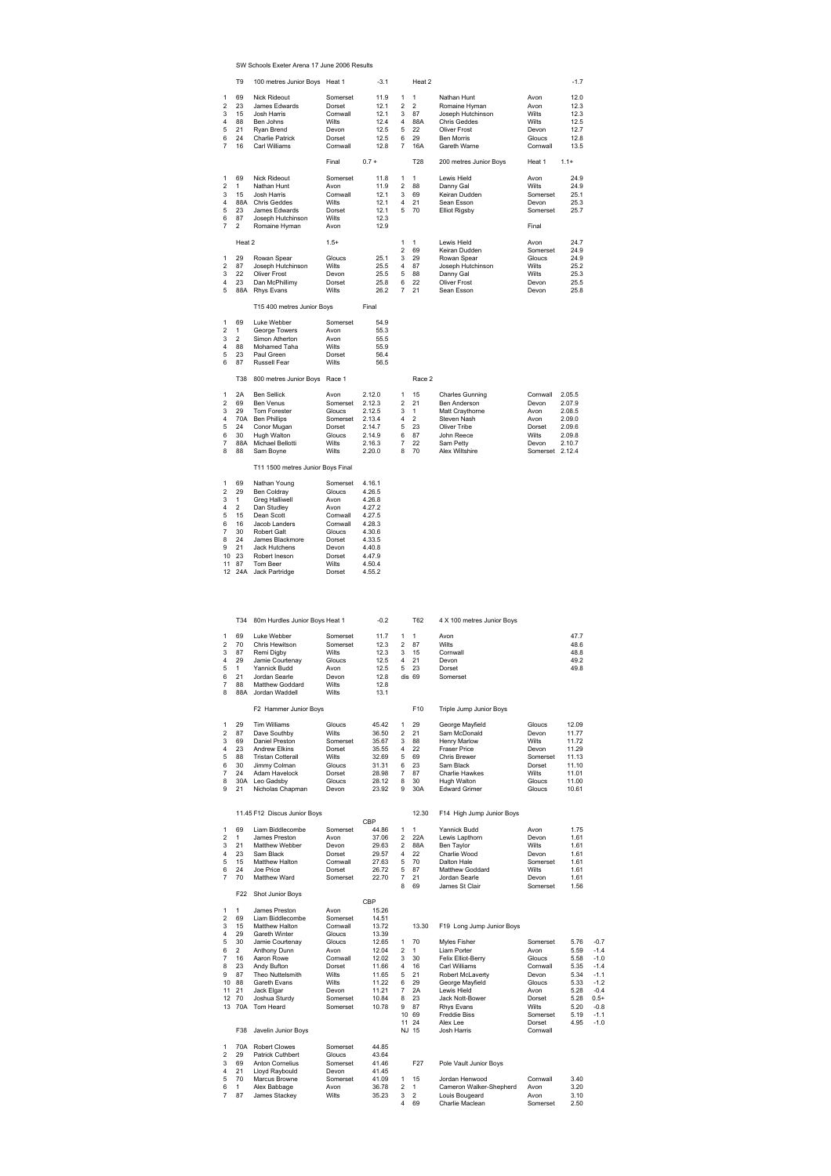|                |                | SW Schools Exeter Arena 17 June 2006 Results |          |         |                         |                |                            |                 |         |
|----------------|----------------|----------------------------------------------|----------|---------|-------------------------|----------------|----------------------------|-----------------|---------|
|                | T <sub>9</sub> | 100 metres Junior Boys Heat 1                |          | $-3.1$  |                         | Heat 2         |                            |                 | $-1.7$  |
| 1              | 69             | Nick Rideout                                 | Somerset | 11.9    | 1                       | $\overline{1}$ | Nathan Hunt                | Avon            | 12.0    |
| $\overline{c}$ | 23             | James Edwards                                | Dorset   | 12.1    | $\overline{2}$          | $\overline{2}$ | Romaine Hyman              | Avon            | 12.3    |
| 3              | 15             | Josh Harris                                  | Cornwall | 12.1    | 3                       | 87             | Joseph Hutchinson          | Wilts           | 12.3    |
| 4              | 88             | Ben Johns                                    | Wilts    | 12.4    | 4                       | 88A            | <b>Chris Geddes</b>        | Wilts           | 12.5    |
| 5              | 21             | Ryan Brend                                   | Devon    | 12.5    | 5                       | 22             | Oliver Frost               | Devon           | 12.7    |
| 6              | 24             | Charlie Patrick                              | Dorset   | 125     | 6                       | 29             | <b>Ben Morris</b>          | Gloucs          | 12.8    |
| $\overline{7}$ | 16             | Carl Williams                                | Cornwall | 12.8    | $\overline{7}$          | <b>16A</b>     | Gareth Warne               | Cornwall        | 13.5    |
|                |                |                                              |          |         |                         |                |                            |                 |         |
|                |                |                                              | Final    | $0.7 +$ |                         | <b>T28</b>     | 200 metres Junior Boys     | Heat 1          | $1.1 +$ |
| 1              | 69             | <b>Nick Rideout</b>                          | Somerset | 11.8    | 1                       | 1              | Lewis Hield                | Avon            | 24.9    |
| $\overline{2}$ | 1              | Nathan Hunt                                  | Avon     | 11.9    | $\mathfrak{p}$          | 88             | Danny Gal                  | Wilts           | 24.9    |
| 3              | 15             | Josh Harris                                  | Cornwall | 12.1    | 3                       | 69             | Keiran Dudden              | Somerset        | 25.1    |
| 4              | 88A            | Chris Geddes                                 | Wilts    | 12.1    | 4                       | 21             | Sean Esson                 | Devon           | 25.3    |
| 5              | 23             | James Edwards                                | Dorset   | 12.1    | 5                       | 70             | <b>Elliot Rigsby</b>       | Somerset        | 25.7    |
| 6              | 87             | Joseph Hutchinson                            | Wilts    | 12.3    |                         |                |                            |                 |         |
| 7              | $\overline{2}$ | Romaine Hyman                                | Avon     | 12.9    |                         |                |                            | Final           |         |
|                | Heat 2         |                                              | $1.5+$   |         | 1<br>$\overline{2}$     | 1<br>69        | Lewis Hield                | Avon            | 24.7    |
|                |                |                                              |          |         |                         |                | Keiran Dudden              | Somerset        | 24.9    |
| 1              | 29             | Rowan Spear                                  | Gloucs   | 25.1    | 3                       | 29             | Rowan Spear                | Gloucs          | 24.9    |
| 2              | 87             | Joseph Hutchinson                            | Wilts    | 25.5    | $\overline{\mathbf{4}}$ | 87             | Joseph Hutchinson          | <b>Wilts</b>    | 25.2    |
| 3              | 22             | Oliver Frost                                 | Devon    | 25.5    | 5                       | 88             | Danny Gal                  | Wilts           | 25.3    |
| 4              | 23             | Dan McPhillimy                               | Dorset   | 25.8    | 6                       | 22             | Oliver Frost               | Devon           | 25.5    |
| 5              | 88A            | Rhys Evans                                   | Wilts    | 26.2    | 7                       | 21             | Sean Esson                 | Devon           | 25.8    |
|                |                | T15 400 metres Junior Boys                   |          | Final   |                         |                |                            |                 |         |
| 1              | 69             | Luke Webber                                  | Somerset | 54.9    |                         |                |                            |                 |         |
| 2              | 1              | George Towers                                | Avon     | 55.3    |                         |                |                            |                 |         |
| 3              | 2              | Simon Atherton                               | Avon     | 55.5    |                         |                |                            |                 |         |
| 4              | 88             | Mohamed Taha                                 | Wilts    | 55.9    |                         |                |                            |                 |         |
| 5              | 23             | Paul Green                                   | Dorset   | 56.4    |                         |                |                            |                 |         |
| 6              | 87             | Russell Fear                                 | Wilts    | 56.5    |                         |                |                            |                 |         |
|                | T38            | 800 metres Junior Boys Race 1                |          |         |                         | Race 2         |                            |                 |         |
| 1              | 2A             | <b>Ben Sellick</b>                           | Avon     | 2.12.0  | 1                       | 15             | <b>Charles Gunning</b>     | Cornwall        | 2.05.5  |
| 2              | 69             | Ben Venus                                    | Somerset | 2.12.3  | $\overline{\mathbf{c}}$ | 21             | Ben Anderson               | Devon           | 2.07.9  |
| 3              | 29             | Tom Forester                                 | Gloucs   | 2.12.5  | 3                       | $\mathbf{1}$   | Matt Craythorne            | Avon            | 2.08.5  |
| 4              |                | 70A Ben Phillips                             | Somerset | 2.13.4  | 4                       | $\overline{c}$ | Steven Nash                | Avon            | 2.09.0  |
| 5              | 24             | Conor Mugan                                  | Dorset   | 2.14.7  | 5                       | 23             | Oliver Tribe               | Dorset          | 2.09.6  |
| 6              | 30             | Hugh Walton                                  | Gloucs   | 2.14.9  | 6                       | 87             | John Reece                 | Wilts           | 2.09.8  |
| 7              | 88A            | Michael Bellotti                             | Wilts    | 2.16.3  | $\overline{7}$          | 22             | Sam Petty                  | Devon           | 2.10.7  |
| 8              | 88             | Sam Boyne                                    | Wilts    | 2.20.0  | 8                       | 70             | Alex Wiltshire             | Somerset 2.12.4 |         |
|                |                | T11 1500 metres Junior Boys Final            |          |         |                         |                |                            |                 |         |
|                | 69             |                                              |          |         |                         |                |                            |                 |         |
| 1              |                | Nathan Young                                 | Somerset | 4.16.1  |                         |                |                            |                 |         |
| 2              | 29             | Ben Coldray                                  | Gloucs   | 4.26.5  |                         |                |                            |                 |         |
| 3              | 1              | <b>Greg Halliwell</b>                        | Avon     | 4.26.8  |                         |                |                            |                 |         |
| 4              | $\overline{2}$ | Dan Studley                                  | Avon     | 4.27.2  |                         |                |                            |                 |         |
| 5              | 15             | Dean Scott                                   | Cornwall | 4.27.5  |                         |                |                            |                 |         |
| 6              | 16             | Jacob Landers                                | Cornwall | 4.28.3  |                         |                |                            |                 |         |
| $\overline{7}$ | 30             | Robert Galt                                  | Gloucs   | 4.30.6  |                         |                |                            |                 |         |
| 8              | 24             | James Blackmore                              | Dorset   | 4.33.5  |                         |                |                            |                 |         |
| 9              | 21             | Jack Hutchens                                | Devon    | 4.40.8  |                         |                |                            |                 |         |
| 10             | 23             | Robert Ineson                                | Dorset   | 447.9   |                         |                |                            |                 |         |
| 11             | 87             | Tom Beer                                     | Wilts    | 4.50.4  |                         |                |                            |                 |         |
| 12             | 24A            | Jack Partridge                               | Dorset   | 4.55.2  |                         |                |                            |                 |         |
|                |                |                                              |          |         |                         |                |                            |                 |         |
|                | T34            | 80m Hurdles Junior Boys Heat 1               |          | $-0.2$  |                         | T62            | 4 X 100 metres Junior Boys |                 |         |
| 1              | 69             | Luke Webber                                  | Somerset | 11.7    | 1                       | 1              | Avon                       |                 | 47.7    |
| 2              | 70             | Chris Hewitson                               | Somerset | 12.3    | 2                       | 87             | <b>Wilts</b>               |                 | 48.6    |
| 3              | 87             | Remi Digby                                   | Wilts    | 12.3    | 3                       | 15             | Cornwall                   |                 | 48.8    |
| 4              | 29             | Jamie Courtenay                              | Gloucs   | 12.5    | 4                       | 21             | Devon                      |                 | 49.2    |
| 5              | $\mathbf{1}$   | Yannick Budd                                 | Avon     | 12.5    | 5                       | 23             | Dorset                     |                 | 49.8    |
| 6              | 21             | Jordan Searle                                | Devon    | 12.8    |                         | dis 69         | Somerset                   |                 |         |
| 7              | 88             | Matthew Goddard                              | Wilts    | 12.8    |                         |                |                            |                 |         |
| 8              | 88A            | Jordan Waddell                               | Wilts    | 13.1    |                         |                |                            |                 |         |
|                |                |                                              |          |         |                         |                |                            |                 |         |
|                |                | F2 Hammer Junior Boys                        |          |         |                         | F10            | Triple Jump Junior Boys    |                 |         |
|                | $\sim$         |                                              |          | $-1$    |                         |                |                            |                 | $\sim$  |

|    | 29  | Tim Williams             | Gloucs        | 45.42 |                | 29  | George Mayfield      | Gloucs       | 12.09 |
|----|-----|--------------------------|---------------|-------|----------------|-----|----------------------|--------------|-------|
|    | 87  | Dave Southby             | <b>Wilts</b>  | 36.50 | $\overline{2}$ | 21  | Sam McDonald         | Devon        | 11.77 |
|    | 69  | Daniel Preston           | Somerset      | 35.67 | 3              | 88  | Henry Marlow         | Wilts        | 11.72 |
|    | 23  | <b>Andrew Elkins</b>     | Dorset        | 35.55 | 4              | 22  | <b>Fraser Price</b>  | Devon        | 11.29 |
| 5. | 88  | <b>Tristan Cotterall</b> | <b>Wilts</b>  | 32.69 | 5              | 69  | Chris Brewer         | Somerset     | 11.13 |
| 6  | 30  | Jimmy Colman             | Gloucs        | 31.31 | 6              | 23  | Sam Black            | Dorset       | 11.10 |
|    | 24  | Adam Havelock            | Dorset        | 28.98 |                | 87  | Charlie Hawkes       | <b>Wilts</b> | 11.01 |
| 8  | 30A | Leo Gadsby               | <b>Gloucs</b> | 28.12 | 8              | 30  | Hugh Walton          | Gloucs       | 11.00 |
| 9  | 21  | Nicholas Chapman         | Devon         | 23.92 | 9              | 30A | <b>Edward Grimer</b> | Gloucs       | 10.61 |

## 11.45 F12 Discus Junior Boys 12.30 F14 High Jump Junior Boys

|                |       | 11.45 F12 Discus Junior Bovs |          |       |                | 12.30 | F14 High Jump Junior Boys |              |      |
|----------------|-------|------------------------------|----------|-------|----------------|-------|---------------------------|--------------|------|
|                |       |                              |          | CBP   |                |       |                           |              |      |
| 1.             | 69    | Liam Biddlecombe             | Somerset | 44.86 | 1.             | -1    | Yannick Budd              | Avon         | 1.75 |
| $2 \quad 1$    |       | James Preston                | Avon     | 37.06 | 2              | 22A   | Lewis Lapthorn            | Devon        | 1.61 |
|                | 3, 21 | Matthew Webber               | Devon    | 29.63 | $\mathfrak{p}$ | 88A   | Ben Tavlor                | <b>Wilts</b> | 1.61 |
|                | 4 23  | Sam Black                    | Dorset   | 29.57 | 4              | 22    | Charlie Wood              | Devon        | 1.61 |
|                | 5 15  | Matthew Halton               | Cornwall | 27.63 | 5              | 70    | Dalton Hale               | Somerset     | 1.61 |
|                | 6 24  | Joe Price                    | Dorset   | 26.72 | 5              | 87    | <b>Matthew Goddard</b>    | <b>Wilts</b> | 1.61 |
| $\overline{7}$ | 70    | Matthew Ward                 | Somerset | 22.70 |                | 21    | Jordan Searle             | Devon        | 1.61 |
|                |       |                              |          |       | 8              | 69    | James St Clair            | Somerset     | 1.56 |
|                | F22   | <b>Shot Junior Boys</b>      |          |       |                |       |                           |              |      |

|                | 14K            | <b>OTIOL JUITIUL DUYS</b> |              |       |                         |                 |                           |          |      |        |
|----------------|----------------|---------------------------|--------------|-------|-------------------------|-----------------|---------------------------|----------|------|--------|
|                |                |                           |              | CBP   |                         |                 |                           |          |      |        |
| 1              | 1              | James Preston             | Avon         | 15.26 |                         |                 |                           |          |      |        |
| $\overline{2}$ | 69             | Liam Biddlecombe          | Somerset     | 14.51 |                         |                 |                           |          |      |        |
| 3              | 15             | Matthew Halton            | Cornwall     | 13.72 |                         | 13.30           | F19 Long Jump Junior Boys |          |      |        |
| 4              | 29             | <b>Gareth Winter</b>      | Gloucs       | 13.39 |                         |                 |                           |          |      |        |
| 5              | 30             | Jamie Courtenay           | Gloucs       | 12.65 | 1                       | 70              | Myles Fisher              | Somerset | 5.76 | $-0.7$ |
| 6              | $\overline{2}$ | Anthony Dunn              | Avon         | 12.04 | $\overline{\mathbf{c}}$ | 1               | I jam Porter              | Avon     | 5.59 | $-1.4$ |
| 7              | 16             | Aaron Rowe                | Cornwall     | 12.02 | 3                       | 30              | Felix Elliot-Berry        | Gloucs   | 5.58 | $-1.0$ |
| 8              | 23             | Andy Bufton               | Dorset       | 11.66 | 4                       | 16              | Carl Williams             | Cornwall | 5.35 | $-1.4$ |
| 9              | 87             | Theo Nuttelsmith          | <b>Wilts</b> | 11.65 | 5                       | 21              | <b>Robert McLaverty</b>   | Devon    | 5.34 | $-1.1$ |
| 10             | 88             | Gareth Evans              | Wilts        | 11.22 | 6                       | 29              | George Mayfield           | Gloucs   | 5.33 | $-1.2$ |
| 11             | 21             | Jack Elgar                | Devon        | 11.21 | 7                       | 2A              | I ewis Hield              | Avon     | 5.28 | $-0.4$ |
| 12             | 70             | Joshua Sturdy             | Somerset     | 10.84 | 8                       | 23              | Jack Nott-Bower           | Dorset   | 5.28 | $0.5+$ |
| 13             | 70A            | Tom Heard                 | Somerset     | 10.78 | 9                       | 87              | Rhys Evans                | Wilts    | 5.20 | $-0.8$ |
|                |                |                           |              |       | 10                      | 69              | <b>Freddie Biss</b>       | Somerset | 5.19 | $-1.1$ |
|                |                |                           |              |       | 11                      | 24              | Alex Lee                  | Dorset   | 4.95 | $-1.0$ |
|                | F38            | Javelin Junior Boys       |              |       |                         | <b>NJ 15</b>    | Josh Harris               | Cornwall |      |        |
| 1              | 70A            | Robert Clowes             | Somerset     | 44.85 |                         |                 |                           |          |      |        |
| 2              | 29             | Patrick Cuthbert          | Gloucs       | 43.64 |                         |                 |                           |          |      |        |
| 3              | 69             | Anton Cornelius           | Somerset     | 41.46 |                         | F <sub>27</sub> | Pole Vault Junior Boys    |          |      |        |
| 4              | 21             | Lloyd Raybould            | Devon        | 41.45 |                         |                 |                           |          |      |        |
| 5              | 70             | Marcus Browne             | Somerset     | 41.09 | 1                       | 15              | Jordan Henwood            | Cornwall | 3.40 |        |
| 6              | 1.             | Alex Babbage              | Avon         | 36.78 | $\overline{c}$          | 1               | Cameron Walker-Shepherd   | Avon     | 3.20 |        |
| 7              | 87             | James Stackey             | <b>Wilts</b> | 35.23 | 3                       | 2               | Louis Bougeard            | Avon     | 3.10 |        |
|                |                |                           |              |       | 4                       | 69              | Charlie Maclean           | Somerset | 2.50 |        |
|                |                |                           |              |       |                         |                 |                           |          |      |        |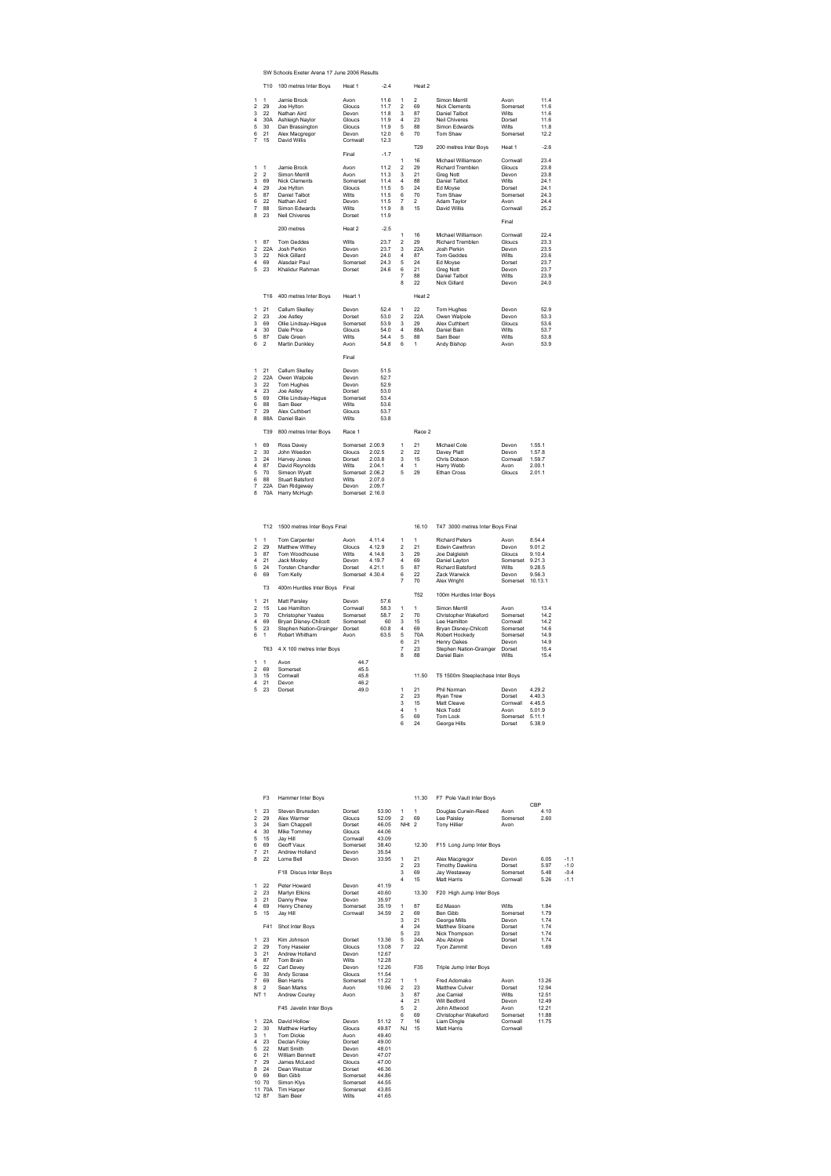| T10 100 metres Inter Boys | Heat 1 | $-24$ | Heat 2 |
|---------------------------|--------|-------|--------|

| 1              | 1              | Jamie Brock            | Avon              | 11.6   | 1              | $\mathfrak{p}$ | Simon Merrill           | Avon     | 114    |
|----------------|----------------|------------------------|-------------------|--------|----------------|----------------|-------------------------|----------|--------|
| $\overline{2}$ | 29             | Joe Hylton             | Gloucs            | 117    | $\overline{c}$ | 69             | Nick Clements           | Somerset | 116    |
| 3              | 22             | Nathan Aird            | Devon             | 118    | 3              | 87             | Daniel Talbot           | Wilts    | 11.6   |
| 4              | 30A            | Ashleigh Navlor        | Gloucs            | 119    | 4              | 23             | Neil Chiveres           | Dorset   | 116    |
| 5              | 30             | Dan Brassington        | Gloucs            | 11.9   | 5              | <b>BB</b>      | Simon Edwards           | Wilts    | 118    |
| 6              | 21             | Alex Macgregor         | Devon             | 120    | 6              | 70             | Tom Shaw                | Somerset | 12.2   |
|                |                |                        |                   |        |                |                |                         |          |        |
| $\overline{7}$ | 15             | David Willis           | Cornwall          | 12.3   |                |                |                         |          |        |
|                |                |                        |                   |        |                | T29            | 200 metres Inter Boys   | Heat 1   | $-26$  |
|                |                |                        | Final             | $-17$  |                |                |                         |          |        |
|                |                |                        |                   |        | 1              | 16             | Michael Williamson      | Cornwall | 234    |
| 1              | 1              | Jamie Brock            | Avon              | 11.2   | $\mathfrak{p}$ | 29             | <b>Richard Tremblen</b> | Gloucs   | 23.8   |
| $\mathfrak{p}$ | $\overline{a}$ | Simon Merrill          | Avon              | 11.3   | 3              | 21             | <b>Grea Nott</b>        | Devon    | 23.8   |
| 3              | 69             | <b>Nick Clements</b>   | Somerset          | 114    | 4              | 88             | Daniel Talbot           | Wilts    | 241    |
| 4              | 29             | Joe Hylton             | Gloucs            | 11.5   | 5              | 24             | Ed Movse                | Dorset   | 241    |
| 5              | 87             | <b>Daniel Talbot</b>   | Wilts             | 11.5   | 6              | 70             | Tom Shaw                | Somerset | 243    |
| 6              | 22             | Nathan Aird            | Devon             | 11.5   | $\overline{7}$ | $\overline{2}$ | Adam Taylor             | Avon     | 244    |
|                |                |                        |                   |        |                |                |                         |          |        |
| $\overline{7}$ | 88             | Simon Edwards          | Wilts             | 11.9   | å              | 15             | David Willis            | Cornwall | 25.2   |
| 8              | 23             | Neil Chiveres          | Dorset            | 119    |                |                |                         |          |        |
|                |                |                        |                   |        |                |                |                         | Final    |        |
|                |                | 200 metres             | Heat <sub>2</sub> | $-2.5$ |                |                |                         |          |        |
|                |                |                        |                   |        | 1              | 16             | Michael Williamson      | Cornwall | 224    |
| 1              | 87             | <b>Tom Geddes</b>      | Wilts             | 237    | $\overline{c}$ | 29             | <b>Richard Tremblen</b> | Gloucs   | 23.3   |
| $\overline{2}$ | 22A            | Josh Perkin            | Devon             | 23.7   | 3              | 22A            | Josh Perkin             | Devon    | 23.5   |
| 3              | 22             | Nick Gillard           | Devon             | 24.0   | 4              | 87             | <b>Tom Geddes</b>       | Wilts    | 23.6   |
| 4              | 69             | Alasdair Paul          | Somerset          | 24.3   | 5              | 24             | Ed Movse                | Dorset   | 23.7   |
| 5              | 23             | Khalidur Rahman        | Dorset            | 24.6   | 6              | 21             | <b>Grea Nott</b>        | Devon    | 23.7   |
|                |                |                        |                   |        |                |                |                         |          |        |
|                |                |                        |                   |        | $\overline{7}$ | 88             | Daniel Talbot           | Wilts    | 23.9   |
|                |                |                        |                   |        | 8              | 22             | Nick Gillard            | Devon    | 24.0   |
|                |                |                        |                   |        |                |                |                         |          |        |
|                | T16            | 400 metres Inter Boys  | Heart 1           |        |                | Heat 2         |                         |          |        |
|                |                |                        |                   |        |                |                |                         |          |        |
| 1              | 21             | Callum Skelley         | Devon             | 52.4   | 1              | 22             | <b>Tom Hughes</b>       | Devon    | 52.9   |
| $\overline{a}$ | 23             | <b>Joe Astley</b>      | Dorset            | 53.0   | $\overline{2}$ | 22A            | Owen Walpole            | Devon    | 53.3   |
| 3              | 69             | Ollie Lindsay-Hague    | Somerset          | 53.9   | 3              | 29             | Alex Cuthbert           | Gloucs   | 53.6   |
| 4              | 30             | Dale Price             | Gloucs            | 54.0   | 4              | 88A            | Daniel Bain             | Wilts    | 53.7   |
| 5              | 87             | Dale Green             | Wilts             | 54.4   | 5              | 88             | Sam Beer                | Wilts    | 53.8   |
| 6              | $\overline{2}$ | Martin Dunkley         | Avon              | 54.8   | 6              | 1              | Andy Bishop             | Avon     | 53.9   |
|                |                |                        |                   |        |                |                |                         |          |        |
|                |                |                        |                   |        |                |                |                         |          |        |
|                |                |                        | Final             |        |                |                |                         |          |        |
|                |                |                        |                   |        |                |                |                         |          |        |
| 1              | 21             | Callum Skelley         | Devon             | 51.5   |                |                |                         |          |        |
| $\mathfrak{p}$ | 22A            | Owen Walpole           | Devon             | 527    |                |                |                         |          |        |
| 3              | 22             | Tom Hughes             | Devon             | 529    |                |                |                         |          |        |
| 4              | 23             | <b>Joe Astley</b>      | Dorset            | 53.0   |                |                |                         |          |        |
| 5              | 69             | Ollie Lindsay-Hague    | Somerset          | 534    |                |                |                         |          |        |
| 6              | 88             | Sam Beer               | Wilts             | 53.6   |                |                |                         |          |        |
| $\overline{7}$ | 29             | Alex Cuthbert          | Gloucs            | 537    |                |                |                         |          |        |
| R              | <b>88A</b>     | Daniel Bain            | Wilts             | 53.8   |                |                |                         |          |        |
|                |                |                        |                   |        |                |                |                         |          |        |
|                | T39            | 800 metres Inter Boys  | Race 1            |        |                | Race 2         |                         |          |        |
|                |                |                        |                   |        |                |                |                         |          |        |
|                |                |                        |                   |        |                |                |                         |          |        |
| 1              | 69             | Ross Davey             | Somerset 2.00.9   |        | 1              | 21             | Michael Cole            | Devon    | 1.55.1 |
| $\overline{2}$ | 30             | John Weedon            | Gloucs            | 2.02.5 | $\overline{2}$ | 22             | Davey Platt             | Devon    | 1.57.8 |
| 3              | 24             | Harvey Jones           | Dorset            | 2.03.8 | 3              | 15             | Chris Dobson            | Cornwall | 1.59.7 |
| 4              | 87             | David Reynolds         | Wilts             | 2.04.1 | 4              | 1              | Harry Webb              | Avon     | 2.00.1 |
| 5              | 70             | Simeon Wyatt           | Somerset 2.06.2   |        | 5              | 29             | Ethan Cross             | Gloucs   | 2.01.1 |
| ĥ              | 88             | <b>Stuart Batsford</b> | Wilts             | 2.07.0 |                |                |                         |          |        |
| $\overline{7}$ | 22A            | Dan Ridgeway           | Devon             | 2097   |                |                |                         |          |        |
| s.             | 70A            | Harry McHugh           | Somerset 2.16.0   |        |                |                |                         |          |        |
|                |                |                        |                   |        |                |                |                         |          |        |

|                | T12            | 1500 metres Inter Boys Final |                 |         |                | 16.10           | T47 3000 metres Inter Bovs Final |              |         |  |
|----------------|----------------|------------------------------|-----------------|---------|----------------|-----------------|----------------------------------|--------------|---------|--|
| 1              | $\mathbf{1}$   | Tom Carpenter                | Avon            | 4 1 1 4 | 1              | 1               | <b>Richard Peters</b>            | Avon         | 8544    |  |
| $\overline{2}$ | 29             | Matthew Withev               | Gloucs          | 4.12.9  | $\overline{2}$ | 21              | <b>Edwin Cawthron</b>            | Devon        | 9012    |  |
| 3              | 87             | Tom Woodhouse                | Wilts           | 4.14.6  | 3              | 29              | Joe Dalgleish                    | Gloucs       | 9.10.4  |  |
| 4              | 21             | Jack Moxlev                  | Devon           | 4.19.7  | 4              | 69              | Daniel Lavton                    | Somerset     | 9.21.3  |  |
| 5              | 24             | <b>Torsten Chandler</b>      | Dorset          | 4.21.1  | 5              | 87              | <b>Richard Batsford</b>          | <b>Wilts</b> | 9.28.5  |  |
| 6              | 69             | Tom Kelly                    | Somerset 4 30 4 |         | 6              | 22              | <b>Zack Warwick</b>              | Devon        | 9.56.3  |  |
|                |                |                              |                 |         | $\overline{7}$ | 70              | Alex Wright                      | Somerset     | 10.13.1 |  |
|                | T <sub>3</sub> | 400m Hurdles Inter Boys      | Final           |         |                |                 |                                  |              |         |  |
|                |                |                              |                 |         |                | T <sub>52</sub> | 100m Hurdles Inter Boys          |              |         |  |
| 1              | 21             | Matt Parsley                 | Devon           | 576     |                |                 |                                  |              |         |  |
| $\mathfrak{p}$ | 15             | Lee Hamilton                 | Cornwall        | 58.3    | 1              | 1               | Simon Merrill                    | Avon         | 134     |  |
| 3              | 70             | Christopher Yeates           | Somerset        | 58.7    | $\overline{2}$ | 70              | Christopher Wakeford             | Somerset     | 14.2    |  |
| 4              | 69             | Bryan Disney-Chilcott        | Somerset        | 60      | 3              | 15              | Lee Hamilton                     | Cornwall     | 14.2    |  |
| 5              | 23             | Stephen Nation-Grainger      | Dorset          | 60.8    | 4              | 69              | Bryan Disney-Chilcott            | Somerset     | 14.6    |  |
| 6              | 1              | Robert Whitham               | Avon            | 63.5    | 5              | 70A             | Robert Hockedy                   | Somerset     | 14.9    |  |
|                |                |                              |                 |         | 6              | 21              | Henry Oakes                      | Devon        | 14.9    |  |
|                | T63            | 4 X 100 metres Inter Boys    |                 |         | $\overline{7}$ | 23              | Stephen Nation-Grainger          | Dorset       | 15.4    |  |
|                |                |                              |                 |         | g              | 88              | Daniel Bain                      | Wilts        | 15.4    |  |
| 1              | 1              | Avon                         | 447             |         |                |                 |                                  |              |         |  |
| $\overline{2}$ | 69             | Somerset                     | 45.5            |         |                |                 |                                  |              |         |  |
| 3              | 15             | Comwall                      | 45.8            |         |                | 11.50           | T5 1500m Steeplechase Inter Boys |              |         |  |
| 4              | 21             | Devon                        | 46.2            |         |                |                 |                                  |              |         |  |
| 5              | 23             | Dorset                       | 49.0            |         | 1              | 21              | Phil Norman                      | Devon        | 4 2 9 2 |  |
|                |                |                              |                 |         | $\overline{2}$ | 23              | Rvan Trew                        | Dorset       | 4.40.3  |  |
|                |                |                              |                 |         | 3              | 15              | Matt Cleave                      | Cornwall     | 4.45.5  |  |
|                |                |                              |                 |         | 4              | 1               | Nick Todd                        | Avon         | 5.01.9  |  |
|                |                |                              |                 |         | 5              | 69              | Tom Lock                         | Somerset     | 5.11.1  |  |
|                |                |                              |                 |         | 6              | 24              | George Hills                     | Dorset       | 5.38.9  |  |

|                | F <sub>3</sub>        | Hammer Inter Boys      |          |       |                          | 11.30          | F7 Pole Vault Inter Boys |              | CBP   |        |
|----------------|-----------------------|------------------------|----------|-------|--------------------------|----------------|--------------------------|--------------|-------|--------|
| 1              | 23                    | Steven Brunsden        | Dorset   | 53.90 | 1                        | 1              | Douglas Curwin-Reed      | Avon         | 4 1 0 |        |
| $\overline{2}$ | 29                    | Alex Warmer            | Gloucs   | 52.09 | $\overline{2}$           | 69             | Lee Paisley              | Somerset     | 2.60  |        |
| 3              | 24                    | Sam Chappell           | Dorset   | 46.05 | NH <sub>12</sub>         |                | <b>Tony Hillier</b>      | Avon         |       |        |
| 4              | 30                    | Mike Tommey            | Gloucs   | 44.06 |                          |                |                          |              |       |        |
| 5              | 15                    | Jav Hill               | Cornwall | 43.09 |                          |                |                          |              |       |        |
| 6              | 69                    | Geoff Vaux             | Somerset | 38.40 |                          | 12.30          | F15 Long Jump Inter Boys |              |       |        |
| $\overline{7}$ | 21                    | Andrew Holland         | Devon    | 35.54 |                          |                |                          |              |       |        |
| 8              | 22                    | I orne Bell            | Devon    | 33.95 | 1                        | 21             | Alex Macgregor           | Devon        | 6.05  | $-11$  |
|                |                       |                        |          |       | $\overline{2}$           | 23             | <b>Timothy Dawkins</b>   | Dorset       | 5.97  | $-10$  |
|                |                       | F18 Discus Inter Boys  |          |       | 3                        | 69             | Jav Westawav             | Somerset     | 5.48  | $-0.4$ |
|                |                       |                        |          |       | 4                        | 15             | <b>Matt Harris</b>       | Cornwall     | 5.26  | $-1.1$ |
| 1              | 22                    | Peter Howard           | Devon    | 41 19 |                          |                |                          |              |       |        |
| $\overline{2}$ | 23                    | <b>Martyn Elkins</b>   | Dorset   | 40.60 |                          | 13.30          | F20 High Jump Inter Boys |              |       |        |
| 3              | 21                    | Danny Prew             | Devon    | 35.97 |                          |                |                          |              |       |        |
| 4              | 69                    | Henry Cheney           | Somerset | 35.19 | 1                        | 87             | Fd Mason                 | <b>Wilts</b> | 1.84  |        |
| 5              | 15                    | Jav Hill               | Cornwall | 34 59 | $\overline{\phantom{a}}$ | 69             | <b>Ben Gibb</b>          | Somerset     | 179   |        |
|                |                       |                        |          |       | 3                        | 21             | George Mills             | Devon        | 1.74  |        |
|                | F41                   | Shot Inter Boys        |          |       | 4                        | 24             | Matthew Sloane           | Dorset       | 1.74  |        |
|                |                       |                        |          |       | 5                        | 23             | Nick Thompson            | Dorset       | 1.74  |        |
| 1              | 23                    | Kim Johnson            | Dorset   | 13.36 | 5                        | 24A            | Abu Abioye               | Dorset       | 1.74  |        |
| $\mathfrak{p}$ | 29                    | <b>Tony Haseler</b>    | Gloucs   | 13.08 | 7                        | $22^{1}$       | Tvon Zammit              | Devon        | 1.69  |        |
| 3              | 21                    | Andrew Holland         | Devon    | 12.67 |                          |                |                          |              |       |        |
| 4              | 87                    | Tom Brain              | Wilts    | 12.28 |                          |                |                          |              |       |        |
| 5              | 22                    | Carl Davey             | Devon    | 12.26 |                          | F35            | Triple Jump Inter Boys   |              |       |        |
| 6              | 30                    | Andy Scrase            | Gloucs   | 11.54 |                          |                |                          |              |       |        |
| $\overline{7}$ | 69                    | <b>Ben Harris</b>      | Somerset | 11.22 | 1                        | 1              | Fred Adomako             | Avon         | 13.26 |        |
| 8              | $\overline{2}$        | Sean Marks             | Avon     | 10.96 | $\overline{2}$           | 23             | Matthew Culver           | Dorset       | 12.94 |        |
|                | NT <sub>1</sub>       | Andrew Courey          | Avon     |       | 3                        | 87             | Joe Camiel               | <b>Wilts</b> | 12.51 |        |
|                |                       |                        |          |       | 4                        | 21             | Will Bedford             | Devon        | 12.49 |        |
|                |                       | F45 Javelin Inter Boys |          |       | 5                        | $\mathfrak{p}$ | John Attwood             | Avon         | 12 21 |        |
|                |                       |                        |          |       | 6                        | 69             | Christopher Wakeford     | Somerset     | 11.88 |        |
| 1              | 22A                   | David Hollow           | Devon    | 51 12 | 7                        | 16             | Liam Dingle              | Cornwall     | 11.75 |        |
| $\overline{2}$ | 30                    | Matthew Hartley        | Gloucs   | 49.87 | N.I                      | 15             | Matt Harris              | Cornwall     |       |        |
| 3              | 1.                    | <b>Tom Dickie</b>      | Avon     | 49 40 |                          |                |                          |              |       |        |
| 4              | 23                    | Declan Folev           | Dorset   | 49.00 |                          |                |                          |              |       |        |
| 5              | 22                    | Matt Smith             | Devon    | 48.01 |                          |                |                          |              |       |        |
| ĥ              | 21                    | William Bennett        | Devon    | 47.07 |                          |                |                          |              |       |        |
| $\overline{7}$ | 29                    | James McLeod           | Gloucs   | 47.00 |                          |                |                          |              |       |        |
| R              | 24                    | Dean Westcar           | Dorset   | 46.36 |                          |                |                          |              |       |        |
| 9              | 69                    | <b>Ben Gibb</b>        | Somerset | 44.86 |                          |                |                          |              |       |        |
|                | 70<br>10 <sup>1</sup> | Simon Klys             | Somerset | 44 55 |                          |                |                          |              |       |        |
|                | 70A<br>11             | Tim Harper             | Somerset | 43 85 |                          |                |                          |              |       |        |
|                | 12 87                 | Sam Beer               | Wilts    | 41.65 |                          |                |                          |              |       |        |
|                |                       |                        |          |       |                          |                |                          |              |       |        |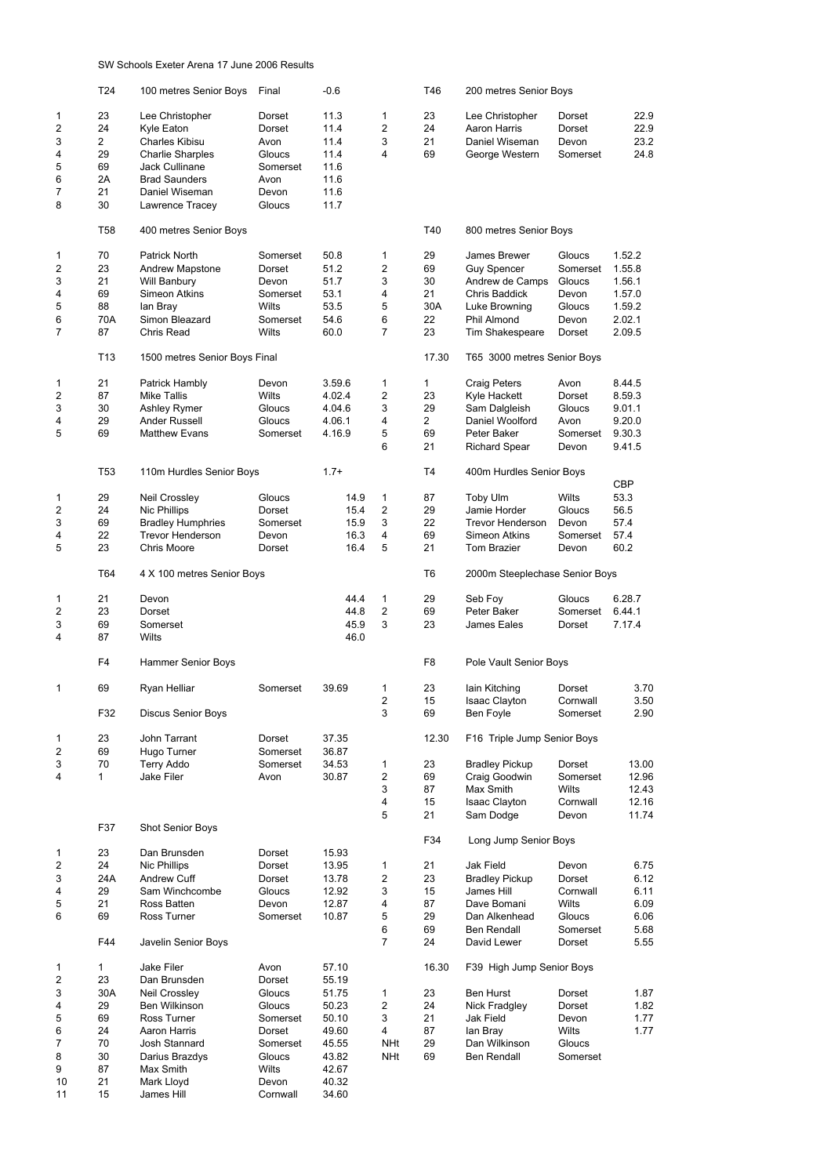|                         | T <sub>24</sub> | 100 metres Senior Boys                        | Final             | -0.6           |                         | T46            | 200 metres Senior Boys         |                   |              |
|-------------------------|-----------------|-----------------------------------------------|-------------------|----------------|-------------------------|----------------|--------------------------------|-------------------|--------------|
| 1                       | 23              | Lee Christopher                               | Dorset            | 11.3           | 1                       | 23             | Lee Christopher                | Dorset            | 22.9         |
| 2                       | 24              | Kyle Eaton                                    | Dorset            | 11.4           | 2                       | 24             | Aaron Harris                   | Dorset            | 22.9         |
| 3                       | 2               | <b>Charles Kibisu</b>                         | Avon              | 11.4           | 3                       | 21             | Daniel Wiseman                 | Devon             | 23.2         |
| 4                       | 29              | <b>Charlie Sharples</b>                       | Gloucs            | 11.4           | 4                       | 69             | George Western                 | Somerset          | 24.8         |
| 5                       | 69              | Jack Cullinane                                | Somerset          | 11.6           |                         |                |                                |                   |              |
|                         | 2A              | <b>Brad Saunders</b>                          | Avon              | 11.6           |                         |                |                                |                   |              |
| 6                       |                 |                                               |                   |                |                         |                |                                |                   |              |
| 7                       | 21              | Daniel Wiseman                                | Devon             | 11.6           |                         |                |                                |                   |              |
| 8                       | 30              | Lawrence Tracey                               | Gloucs            | 11.7           |                         |                |                                |                   |              |
|                         | <b>T58</b>      | 400 metres Senior Boys                        |                   |                |                         | T40            | 800 metres Senior Boys         |                   |              |
| 1                       | 70              | Patrick North                                 | Somerset          | 50.8           | 1                       | 29             | James Brewer                   | Gloucs            | 1.52.2       |
| $\overline{\mathbf{c}}$ | 23              | <b>Andrew Mapstone</b>                        | Dorset            | 51.2           | $\overline{\mathbf{c}}$ | 69             | <b>Guy Spencer</b>             | Somerset          | 1.55.8       |
| 3                       | 21              | Will Banbury                                  | Devon             | 51.7           | 3                       | 30             | Andrew de Camps                | Gloucs            | 1.56.1       |
| 4                       | 69              | Simeon Atkins                                 | Somerset          | 53.1           | 4                       | 21             | Chris Baddick                  | Devon             | 1.57.0       |
| 5                       | 88              | lan Bray                                      | Wilts             | 53.5           | 5                       | 30A            | Luke Browning                  | Gloucs            | 1.59.2       |
| 6                       | 70A             | Simon Bleazard                                | Somerset          | 54.6           | 6                       | 22             | Phil Almond                    | Devon             | 2.02.1       |
| 7                       | 87              | Chris Read                                    | Wilts             | 60.0           | $\overline{7}$          | 23             | Tim Shakespeare                | Dorset            | 2.09.5       |
|                         | T <sub>13</sub> | 1500 metres Senior Boys Final                 |                   |                |                         | 17.30          | T65 3000 metres Senior Boys    |                   |              |
|                         |                 |                                               |                   |                |                         |                |                                |                   |              |
| 1                       | 21              | <b>Patrick Hambly</b>                         | Devon             | 3.59.6         | 1                       | 1              | <b>Craig Peters</b>            | Avon              | 8.44.5       |
| 2                       | 87              | <b>Mike Tallis</b>                            | Wilts             | 4.02.4         | $\overline{\mathbf{c}}$ | 23             | Kyle Hackett                   | Dorset            | 8.59.3       |
| 3                       | 30              | Ashley Rymer                                  | Gloucs            | 4.04.6         | 3                       | 29             | Sam Dalgleish                  | Gloucs            | 9.01.1       |
| 4                       | 29              | <b>Ander Russell</b>                          | Gloucs            | 4.06.1         | 4                       | 2              | Daniel Woolford                | Avon              | 9.20.0       |
| 5                       | 69              | <b>Matthew Evans</b>                          | Somerset          | 4.16.9         | 5                       | 69             | Peter Baker                    | Somerset          | 9.30.3       |
|                         |                 |                                               |                   |                | 6                       | 21             | <b>Richard Spear</b>           | Devon             | 9.41.5       |
|                         | T <sub>53</sub> | 110m Hurdles Senior Boys                      |                   | $1.7+$         |                         | T <sub>4</sub> | 400m Hurdles Senior Boys       |                   |              |
| 1                       | 29              | <b>Neil Crossley</b>                          | Gloucs            | 14.9           | 1                       | 87             | Toby Ulm                       | Wilts             | CBP<br>53.3  |
| 2                       | 24              | <b>Nic Phillips</b>                           | Dorset            | 15.4           | $\overline{\mathbf{c}}$ | 29             | Jamie Horder                   | Gloucs            | 56.5         |
| 3                       | 69              | <b>Bradley Humphries</b>                      | Somerset          | 15.9           | 3                       | 22             | <b>Trevor Henderson</b>        | Devon             | 57.4         |
|                         |                 |                                               |                   |                | 4                       |                |                                |                   |              |
| 4<br>5                  | 22<br>23        | <b>Trevor Henderson</b><br><b>Chris Moore</b> | Devon<br>Dorset   | 16.3<br>16.4   | 5                       | 69<br>21       | Simeon Atkins<br>Tom Brazier   | Somerset<br>Devon | 57.4<br>60.2 |
|                         |                 |                                               |                   |                |                         |                |                                |                   |              |
|                         | T64             | 4 X 100 metres Senior Boys                    |                   |                |                         | T <sub>6</sub> | 2000m Steeplechase Senior Boys |                   |              |
| 1                       | 21              | Devon                                         |                   | 44.4           | 1                       | 29             | Seb Foy                        | Gloucs            | 6.28.7       |
| 2                       | 23              | Dorset                                        |                   | 44.8           | $\overline{\mathbf{c}}$ | 69             | Peter Baker                    | Somerset          | 6.44.1       |
| 3                       | 69              | Somerset                                      |                   | 45.9           | 3                       | 23             | James Eales                    | Dorset            | 7.17.4       |
| 4                       | 87              | Wilts                                         |                   | 46.0           |                         |                |                                |                   |              |
|                         | F4              | Hammer Senior Boys                            |                   |                |                         | F8             | Pole Vault Senior Boys         |                   |              |
| 1                       | 69              | Ryan Helliar                                  | Somerset          | 39.69          | 1                       | 23             | lain Kitching                  | Dorset            | 3.70         |
|                         |                 |                                               |                   |                | 2                       | 15             | <b>Isaac Clayton</b>           | Cornwall          | 3.50         |
|                         | F32             | Discus Senior Boys                            |                   |                | 3                       | 69             | Ben Foyle                      | Somerset          | 2.90         |
| 1                       | 23              |                                               |                   |                |                         |                |                                |                   |              |
| 2                       |                 |                                               |                   |                |                         |                |                                |                   |              |
| 3                       |                 | John Tarrant                                  | Dorset            | 37.35          |                         | 12.30          | F16 Triple Jump Senior Boys    |                   |              |
|                         | 69              | Hugo Turner                                   | Somerset          | 36.87          |                         |                |                                |                   |              |
| 4                       | 70              | <b>Terry Addo</b>                             | Somerset          | 34.53          | 1                       | 23             | <b>Bradley Pickup</b>          | Dorset            | 13.00        |
|                         | 1               | Jake Filer                                    | Avon              | 30.87          | 2                       | 69             | Craig Goodwin                  | Somerset          | 12.96        |
|                         |                 |                                               |                   |                | 3                       | 87             | Max Smith                      | Wilts             | 12.43        |
|                         |                 |                                               |                   |                | 4                       | 15             | <b>Isaac Clayton</b>           | Cornwall          | 12.16        |
|                         | F37             | <b>Shot Senior Boys</b>                       |                   |                | 5                       | 21             | Sam Dodge                      | Devon             | 11.74        |
|                         | 23              | Dan Brunsden                                  |                   |                |                         | F34            | Long Jump Senior Boys          |                   |              |
| 1                       |                 |                                               | Dorset            | 15.93          |                         | 21             | Jak Field                      | Devon             |              |
| 2                       | 24              | <b>Nic Phillips</b>                           | Dorset            | 13.95          | 1                       |                |                                |                   | 6.75         |
| 3                       | 24A             | Andrew Cuff                                   | Dorset            | 13.78          | 2                       | 23             | <b>Bradley Pickup</b>          | Dorset            | 6.12         |
| 4                       | 29              | Sam Winchcombe                                | Gloucs            | 12.92          | 3                       | 15             | James Hill                     | Cornwall          | 6.11         |
| 5                       | 21              | Ross Batten                                   | Devon             | 12.87          | 4                       | 87             | Dave Bomani                    | Wilts             | 6.09         |
| 6                       | 69              | Ross Turner                                   | Somerset          | 10.87          | 5                       | 29             | Dan Alkenhead                  | Gloucs            | 6.06         |
|                         |                 |                                               |                   |                | 6                       | 69             | <b>Ben Rendall</b>             | Somerset          | 5.68         |
|                         | F44             | Javelin Senior Boys                           |                   |                | $\overline{7}$          | 24             | David Lewer                    | Dorset            | 5.55         |
| 1                       | $\mathbf{1}$    | Jake Filer                                    | Avon              | 57.10          |                         | 16.30          | F39 High Jump Senior Boys      |                   |              |
| 2                       | 23              | Dan Brunsden                                  | Dorset            | 55.19          |                         |                |                                |                   |              |
| 3                       | 30A             | Neil Crossley                                 | Gloucs            | 51.75          | 1                       | 23             | Ben Hurst                      | Dorset            | 1.87         |
| 4                       | 29              | <b>Ben Wilkinson</b>                          | Gloucs            | 50.23          | $\overline{c}$          | 24             | Nick Fradgley                  | Dorset            | 1.82         |
| 5                       | 69              | Ross Turner                                   | Somerset          | 50.10          | 3                       | 21             | Jak Field                      | Devon             | 1.77         |
| 6                       | 24              | Aaron Harris                                  | Dorset            | 49.60          | 4                       | 87             | lan Bray                       | Wilts             | 1.77         |
| 7                       | 70              | Josh Stannard                                 | Somerset          | 45.55          | <b>NHt</b>              | 29             | Dan Wilkinson                  | Gloucs            |              |
| 8                       | 30              | Darius Brazdys                                | Gloucs            | 43.82          | <b>NHt</b>              | 69             | <b>Ben Rendall</b>             | Somerset          |              |
| 9                       | 87              | Max Smith                                     | Wilts             | 42.67          |                         |                |                                |                   |              |
| 10<br>11                | 21<br>15        | Mark Lloyd<br>James Hill                      | Devon<br>Cornwall | 40.32<br>34.60 |                         |                |                                |                   |              |